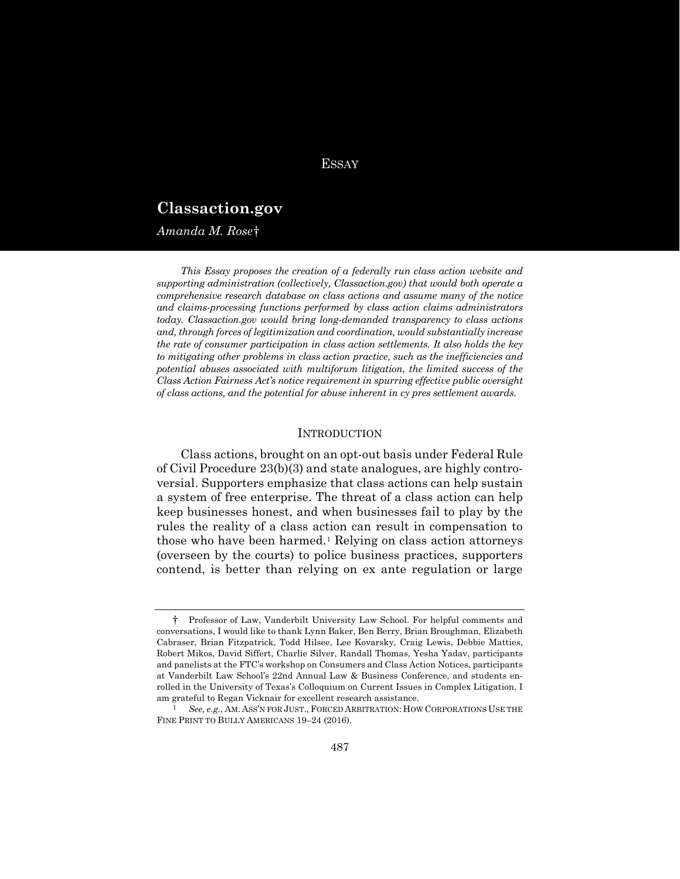# **ESSAY**

# **Classaction.gov**

*Amanda M. Rose*[†](#page-0-0)

*This Essay proposes the creation of a federally run class action website and supporting administration (collectively, Classaction.gov) that would both operate a comprehensive research database on class actions and assume many of the notice and claims-processing functions performed by class action claims administrators today. Classaction.gov would bring long-demanded transparency to class actions and, through forces of legitimization and coordination, would substantially increase the rate of consumer participation in class action settlements. It also holds the key to mitigating other problems in class action practice, such as the inefficiencies and potential abuses associated with multiforum litigation, the limited success of the Class Action Fairness Act's notice requirement in spurring effective public oversight of class actions, and the potential for abuse inherent in cy pres settlement awards.*

# <span id="page-0-2"></span>**INTRODUCTION**

Class actions, brought on an opt-out basis under Federal Rule of Civil Procedure 23(b)(3) and state analogues, are highly controversial. Supporters emphasize that class actions can help sustain a system of free enterprise. The threat of a class action can help keep businesses honest, and when businesses fail to play by the rules the reality of a class action can result in compensation to those who have been harmed.[1](#page-0-1) Relying on class action attorneys (overseen by the courts) to police business practices, supporters contend, is better than relying on ex ante regulation or large

<span id="page-0-0"></span><sup>†</sup> Professor of Law, Vanderbilt University Law School. For helpful comments and conversations, I would like to thank Lynn Baker, Ben Berry, Brian Broughman, Elizabeth Cabraser, Brian Fitzpatrick, Todd Hilsee, Lee Kovarsky, Craig Lewis, Debbie Matties, Robert Mikos, David Siffert, Charlie Silver, Randall Thomas, Yesha Yadav, participants and panelists at the FTC's workshop on Consumers and Class Action Notices, participants at Vanderbilt Law School's 22nd Annual Law & Business Conference, and students enrolled in the University of Texas's Colloquium on Current Issues in Complex Litigation. I am grateful to Regan Vicknair for excellent research assistance.

<span id="page-0-1"></span><sup>1</sup> *See, e.g.*, AM. ASS'N FOR JUST., FORCED ARBITRATION: HOW CORPORATIONS USE THE FINE PRINT TO BULLY AMERICANS 19–24 (2016).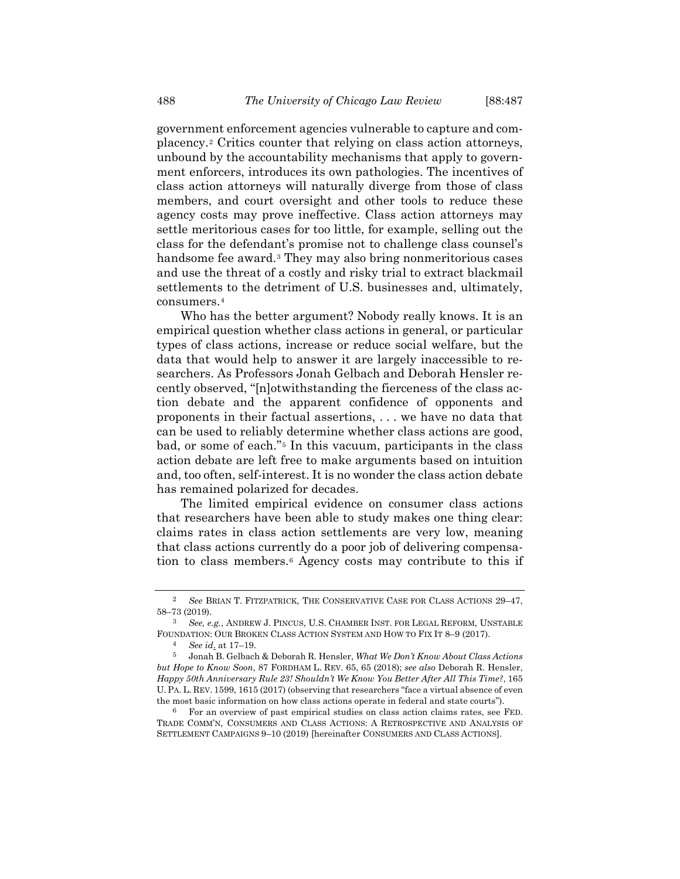government enforcement agencies vulnerable to capture and complacency.[2](#page-1-0) Critics counter that relying on class action attorneys, unbound by the accountability mechanisms that apply to government enforcers, introduces its own pathologies. The incentives of class action attorneys will naturally diverge from those of class members, and court oversight and other tools to reduce these agency costs may prove ineffective. Class action attorneys may settle meritorious cases for too little, for example, selling out the class for the defendant's promise not to challenge class counsel's handsome fee award.<sup>[3](#page-1-1)</sup> They may also bring nonmeritorious cases and use the threat of a costly and risky trial to extract blackmail settlements to the detriment of U.S. businesses and, ultimately, consumers.[4](#page-1-2)

<span id="page-1-7"></span>Who has the better argument? Nobody really knows. It is an empirical question whether class actions in general, or particular types of class actions, increase or reduce social welfare, but the data that would help to answer it are largely inaccessible to researchers. As Professors Jonah Gelbach and Deborah Hensler recently observed, "[n]otwithstanding the fierceness of the class action debate and the apparent confidence of opponents and proponents in their factual assertions, . . . we have no data that can be used to reliably determine whether class actions are good, bad, or some of each."[5](#page-1-3) In this vacuum, participants in the class action debate are left free to make arguments based on intuition and, too often, self-interest. It is no wonder the class action debate has remained polarized for decades.

<span id="page-1-5"></span>The limited empirical evidence on consumer class actions that researchers have been able to study makes one thing clear: claims rates in class action settlements are very low, meaning that class actions currently do a poor job of delivering compensation to class members.[6](#page-1-4) Agency costs may contribute to this if

<span id="page-1-6"></span><span id="page-1-0"></span><sup>2</sup> *See* BRIAN T. FITZPATRICK, THE CONSERVATIVE CASE FOR CLASS ACTIONS 29–47, 58–73 (2019).

<span id="page-1-1"></span><sup>3</sup> *See, e.g.*, ANDREW J. PINCUS, U.S. CHAMBER INST. FOR LEGAL REFORM, UNSTABLE FOUNDATION: OUR BROKEN CLASS ACTION SYSTEM AND HOW TO FIX IT 8–9 (2017).

<sup>4</sup> *See id*. at 17–19.

<span id="page-1-3"></span><span id="page-1-2"></span><sup>5</sup> Jonah B. Gelbach & Deborah R. Hensler, *What We Don't Know About Class Actions but Hope to Know Soon*, 87 FORDHAM L. REV. 65, 65 (2018); *see also* Deborah R. Hensler, *Happy 50th Anniversary Rule 23! Shouldn't We Know You Better After All This Time?*, 165 U. PA. L. REV. 1599, 1615 (2017) (observing that researchers "face a virtual absence of even the most basic information on how class actions operate in federal and state courts").

<span id="page-1-4"></span><sup>6</sup> For an overview of past empirical studies on class action claims rates, see FED. TRADE COMM'N, CONSUMERS AND CLASS ACTIONS: A RETROSPECTIVE AND ANALYSIS OF SETTLEMENT CAMPAIGNS 9–10 (2019) [hereinafter CONSUMERS AND CLASS ACTIONS].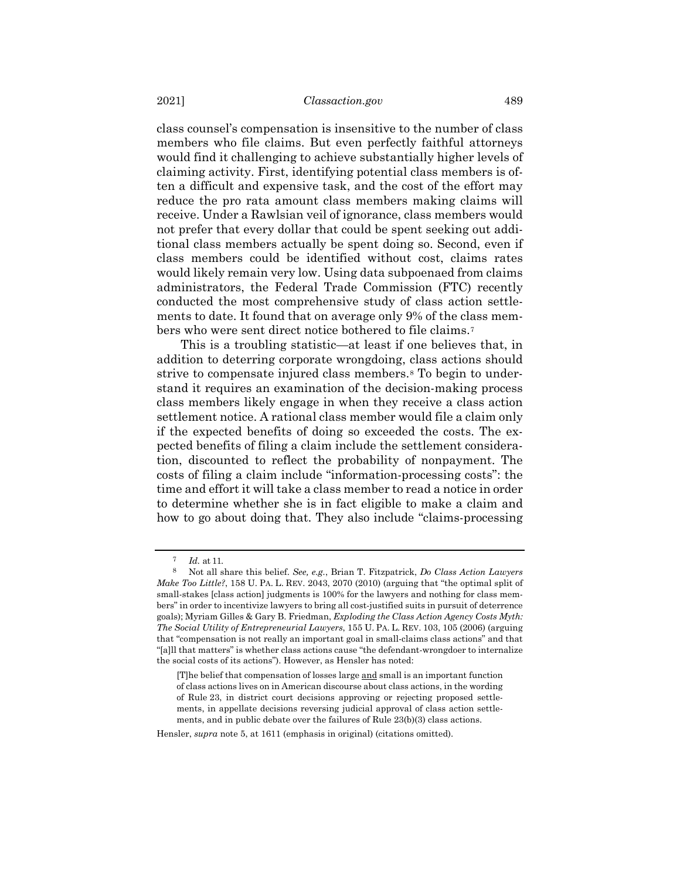class counsel's compensation is insensitive to the number of class members who file claims. But even perfectly faithful attorneys would find it challenging to achieve substantially higher levels of claiming activity. First, identifying potential class members is often a difficult and expensive task, and the cost of the effort may reduce the pro rata amount class members making claims will receive. Under a Rawlsian veil of ignorance, class members would not prefer that every dollar that could be spent seeking out additional class members actually be spent doing so. Second, even if class members could be identified without cost, claims rates would likely remain very low. Using data subpoenaed from claims administrators, the Federal Trade Commission (FTC) recently conducted the most comprehensive study of class action settlements to date. It found that on average only 9% of the class mem-bers who were sent direct notice bothered to file claims.<sup>[7](#page-2-0)</sup>

This is a troubling statistic—at least if one believes that, in addition to deterring corporate wrongdoing, class actions should strive to compensate injured class members.<sup>[8](#page-2-1)</sup> To begin to understand it requires an examination of the decision-making process class members likely engage in when they receive a class action settlement notice. A rational class member would file a claim only if the expected benefits of doing so exceeded the costs. The expected benefits of filing a claim include the settlement consideration, discounted to reflect the probability of nonpayment. The costs of filing a claim include "information-processing costs": the time and effort it will take a class member to read a notice in order to determine whether she is in fact eligible to make a claim and how to go about doing that. They also include "claims-processing

*Id.* at 11.

<span id="page-2-1"></span><span id="page-2-0"></span><sup>8</sup> Not all share this belief. *See, e.g.*, Brian T. Fitzpatrick, *Do Class Action Lawyers Make Too Little?*, 158 U. PA. L. REV. 2043, 2070 (2010) (arguing that "the optimal split of small-stakes [class action] judgments is 100% for the lawyers and nothing for class members" in order to incentivize lawyers to bring all cost-justified suits in pursuit of deterrence goals); Myriam Gilles & Gary B. Friedman, *Exploding the Class Action Agency Costs Myth: The Social Utility of Entrepreneurial Lawyers*, 155 U. PA. L. REV. 103, 105 (2006) (arguing that "compensation is not really an important goal in small-claims class actions" and that "[a]ll that matters" is whether class actions cause "the defendant-wrongdoer to internalize the social costs of its actions"). However, as Hensler has noted:

<sup>[</sup>T]he belief that compensation of losses large and small is an important function of class actions lives on in American discourse about class actions, in the wording of Rule 23, in district court decisions approving or rejecting proposed settlements, in appellate decisions reversing judicial approval of class action settlements, and in public debate over the failures of Rule 23(b)(3) class actions.

Hensler, *supra* not[e 5,](#page-1-5) at 1611 (emphasis in original) (citations omitted).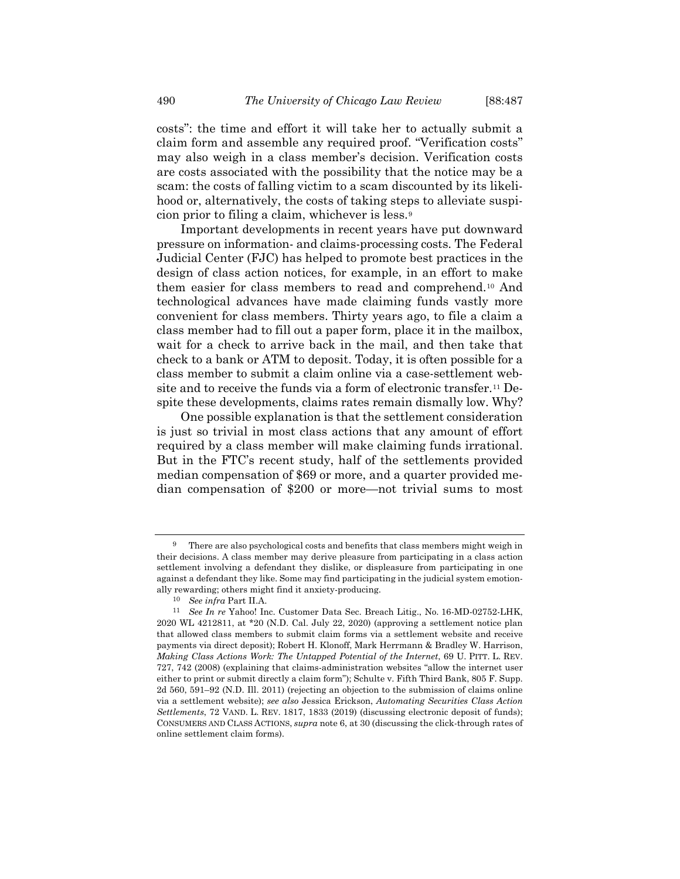costs": the time and effort it will take her to actually submit a claim form and assemble any required proof. "Verification costs" may also weigh in a class member's decision. Verification costs are costs associated with the possibility that the notice may be a scam: the costs of falling victim to a scam discounted by its likelihood or, alternatively, the costs of taking steps to alleviate suspicion prior to filing a claim, whichever is less.[9](#page-3-0)

<span id="page-3-4"></span>Important developments in recent years have put downward pressure on information- and claims-processing costs. The Federal Judicial Center (FJC) has helped to promote best practices in the design of class action notices, for example, in an effort to make them easier for class members to read and comprehend[.10](#page-3-1) And technological advances have made claiming funds vastly more convenient for class members. Thirty years ago, to file a claim a class member had to fill out a paper form, place it in the mailbox, wait for a check to arrive back in the mail, and then take that check to a bank or ATM to deposit. Today, it is often possible for a class member to submit a claim online via a case-settlement website and to receive the funds via a form of electronic transfer.[11](#page-3-2) Despite these developments, claims rates remain dismally low. Why?

<span id="page-3-3"></span>One possible explanation is that the settlement consideration is just so trivial in most class actions that any amount of effort required by a class member will make claiming funds irrational. But in the FTC's recent study, half of the settlements provided median compensation of \$69 or more, and a quarter provided median compensation of \$200 or more—not trivial sums to most

<span id="page-3-0"></span>There are also psychological costs and benefits that class members might weigh in their decisions. A class member may derive pleasure from participating in a class action settlement involving a defendant they dislike, or displeasure from participating in one against a defendant they like. Some may find participating in the judicial system emotionally rewarding; others might find it anxiety-producing.

<sup>10</sup> *See infra* Part II.A.

<span id="page-3-2"></span><span id="page-3-1"></span><sup>11</sup> *See In re* Yahoo! Inc. Customer Data Sec. Breach Litig., No. 16-MD-02752-LHK, 2020 WL 4212811, at \*20 (N.D. Cal. July 22, 2020) (approving a settlement notice plan that allowed class members to submit claim forms via a settlement website and receive payments via direct deposit); Robert H. Klonoff, Mark Herrmann & Bradley W. Harrison, *Making Class Actions Work: The Untapped Potential of the Internet*, 69 U. PITT. L. REV. 727, 742 (2008) (explaining that claims-administration websites "allow the internet user either to print or submit directly a claim form"); Schulte v. Fifth Third Bank, 805 F. Supp. 2d 560, 591–92 (N.D. Ill. 2011) (rejecting an objection to the submission of claims online via a settlement website); *see also* Jessica Erickson, *Automating Securities Class Action Settlements*, 72 VAND. L. REV. 1817, 1833 (2019) (discussing electronic deposit of funds); CONSUMERS AND CLASS ACTIONS, *supra* not[e 6,](#page-1-6) at 30 (discussing the click-through rates of online settlement claim forms).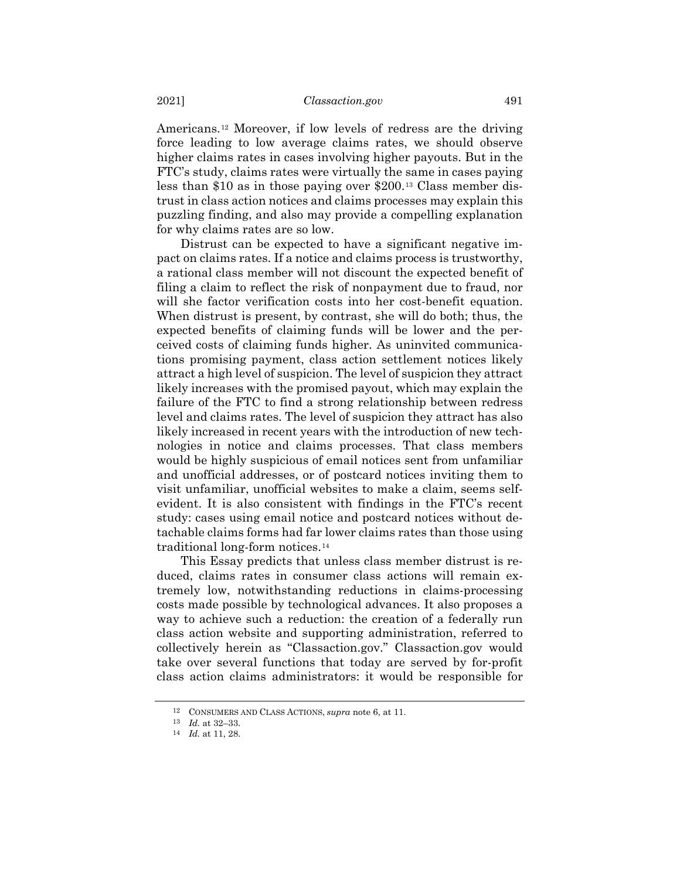Americans.[12](#page-4-0) Moreover, if low levels of redress are the driving force leading to low average claims rates, we should observe higher claims rates in cases involving higher payouts. But in the FTC's study, claims rates were virtually the same in cases paying less than \$10 as in those paying over \$200.[13](#page-4-1) Class member distrust in class action notices and claims processes may explain this puzzling finding, and also may provide a compelling explanation for why claims rates are so low.

Distrust can be expected to have a significant negative impact on claims rates. If a notice and claims process is trustworthy, a rational class member will not discount the expected benefit of filing a claim to reflect the risk of nonpayment due to fraud, nor will she factor verification costs into her cost-benefit equation. When distrust is present, by contrast, she will do both; thus, the expected benefits of claiming funds will be lower and the perceived costs of claiming funds higher. As uninvited communications promising payment, class action settlement notices likely attract a high level of suspicion. The level of suspicion they attract likely increases with the promised payout, which may explain the failure of the FTC to find a strong relationship between redress level and claims rates. The level of suspicion they attract has also likely increased in recent years with the introduction of new technologies in notice and claims processes. That class members would be highly suspicious of email notices sent from unfamiliar and unofficial addresses, or of postcard notices inviting them to visit unfamiliar, unofficial websites to make a claim, seems selfevident. It is also consistent with findings in the FTC's recent study: cases using email notice and postcard notices without detachable claims forms had far lower claims rates than those using traditional long-form notices.[14](#page-4-2)

This Essay predicts that unless class member distrust is reduced, claims rates in consumer class actions will remain extremely low, notwithstanding reductions in claims-processing costs made possible by technological advances. It also proposes a way to achieve such a reduction: the creation of a federally run class action website and supporting administration, referred to collectively herein as "Classaction.gov." Classaction.gov would take over several functions that today are served by for-profit class action claims administrators: it would be responsible for

<span id="page-4-0"></span><sup>12</sup> CONSUMERS AND CLASS ACTIONS, *supra* note [6,](#page-1-6) at 11.

<span id="page-4-2"></span><span id="page-4-1"></span><sup>13</sup> *Id.* at 32–33.

<sup>14</sup> *Id.* at 11, 28.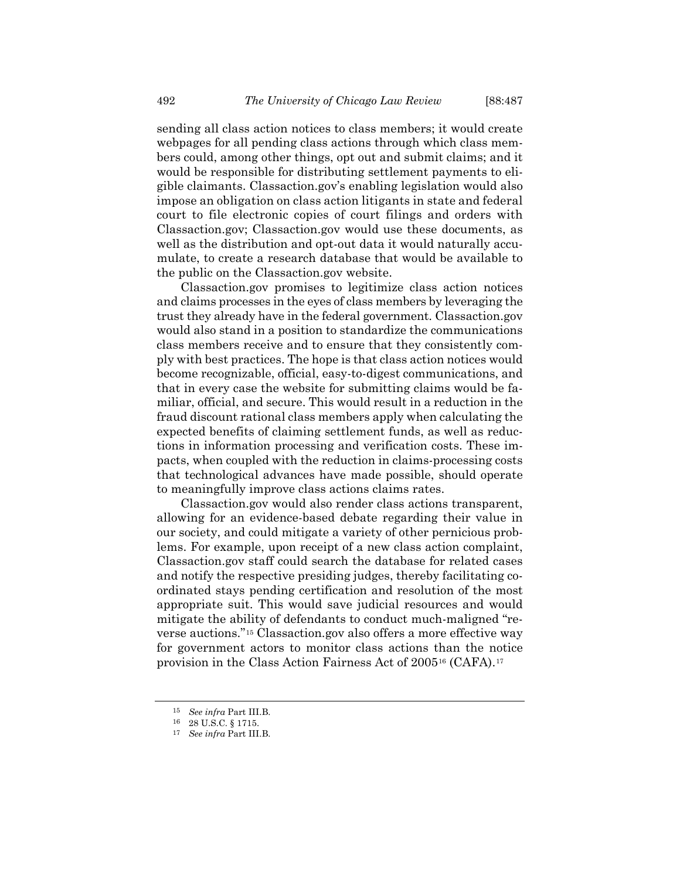sending all class action notices to class members; it would create webpages for all pending class actions through which class members could, among other things, opt out and submit claims; and it would be responsible for distributing settlement payments to eligible claimants. Classaction.gov's enabling legislation would also impose an obligation on class action litigants in state and federal court to file electronic copies of court filings and orders with Classaction.gov; Classaction.gov would use these documents, as well as the distribution and opt-out data it would naturally accumulate, to create a research database that would be available to the public on the Classaction.gov website.

Classaction.gov promises to legitimize class action notices and claims processes in the eyes of class members by leveraging the trust they already have in the federal government. Classaction.gov would also stand in a position to standardize the communications class members receive and to ensure that they consistently comply with best practices. The hope is that class action notices would become recognizable, official, easy-to-digest communications, and that in every case the website for submitting claims would be familiar, official, and secure. This would result in a reduction in the fraud discount rational class members apply when calculating the expected benefits of claiming settlement funds, as well as reductions in information processing and verification costs. These impacts, when coupled with the reduction in claims-processing costs that technological advances have made possible, should operate to meaningfully improve class actions claims rates.

Classaction.gov would also render class actions transparent, allowing for an evidence-based debate regarding their value in our society, and could mitigate a variety of other pernicious problems. For example, upon receipt of a new class action complaint, Classaction.gov staff could search the database for related cases and notify the respective presiding judges, thereby facilitating coordinated stays pending certification and resolution of the most appropriate suit. This would save judicial resources and would mitigate the ability of defendants to conduct much-maligned "reverse auctions."[15](#page-5-0) Classaction.gov also offers a more effective way for government actors to monitor class actions than the notice provision in the Class Action Fairness Act of 2005[16](#page-5-1) (CAFA).[17](#page-5-2)

<span id="page-5-0"></span><sup>15</sup> *See infra* Part III.B.

<span id="page-5-2"></span><span id="page-5-1"></span><sup>16</sup> 28 U.S.C. § 1715.

<sup>17</sup> *See infra* Part III.B.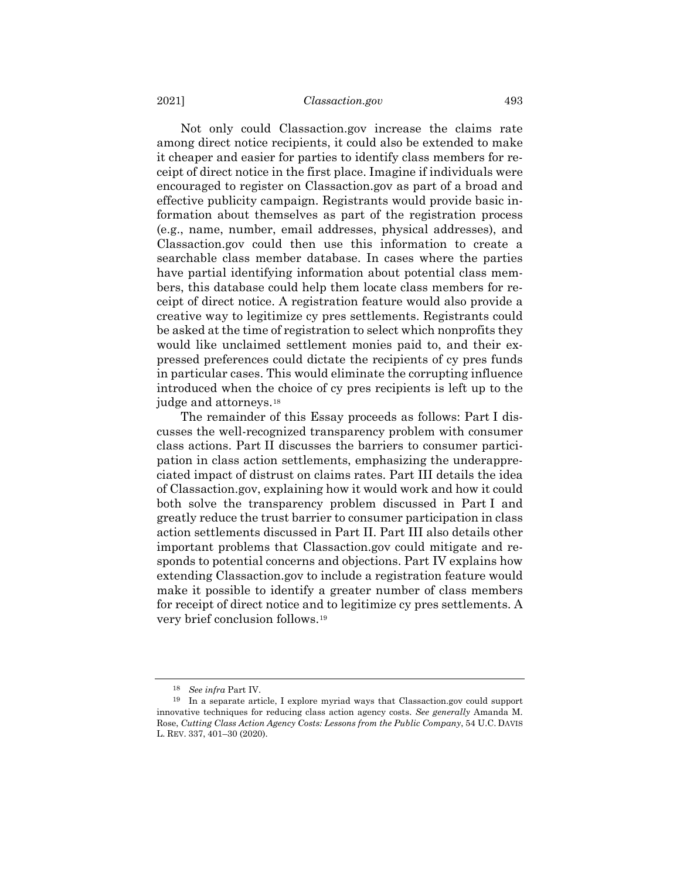Not only could Classaction.gov increase the claims rate among direct notice recipients, it could also be extended to make it cheaper and easier for parties to identify class members for receipt of direct notice in the first place. Imagine if individuals were encouraged to register on Classaction.gov as part of a broad and effective publicity campaign. Registrants would provide basic information about themselves as part of the registration process (e.g., name, number, email addresses, physical addresses), and Classaction.gov could then use this information to create a searchable class member database. In cases where the parties have partial identifying information about potential class members, this database could help them locate class members for receipt of direct notice. A registration feature would also provide a creative way to legitimize cy pres settlements. Registrants could be asked at the time of registration to select which nonprofits they would like unclaimed settlement monies paid to, and their expressed preferences could dictate the recipients of cy pres funds in particular cases. This would eliminate the corrupting influence introduced when the choice of cy pres recipients is left up to the judge and attorneys.[18](#page-6-0)

The remainder of this Essay proceeds as follows: Part I discusses the well-recognized transparency problem with consumer class actions. Part II discusses the barriers to consumer participation in class action settlements, emphasizing the underappreciated impact of distrust on claims rates. Part III details the idea of Classaction.gov, explaining how it would work and how it could both solve the transparency problem discussed in Part I and greatly reduce the trust barrier to consumer participation in class action settlements discussed in Part II. Part III also details other important problems that Classaction.gov could mitigate and responds to potential concerns and objections. Part IV explains how extending Classaction.gov to include a registration feature would make it possible to identify a greater number of class members for receipt of direct notice and to legitimize cy pres settlements. A very brief conclusion follows.[19](#page-6-1)

<span id="page-6-2"></span><sup>18</sup> *See infra* Part IV.

<span id="page-6-1"></span><span id="page-6-0"></span><sup>19</sup> In a separate article, I explore myriad ways that Classaction.gov could support innovative techniques for reducing class action agency costs. *See generally* Amanda M. Rose, *Cutting Class Action Agency Costs: Lessons from the Public Company*, 54 U.C. DAVIS L. REV. 337, 401–30 (2020).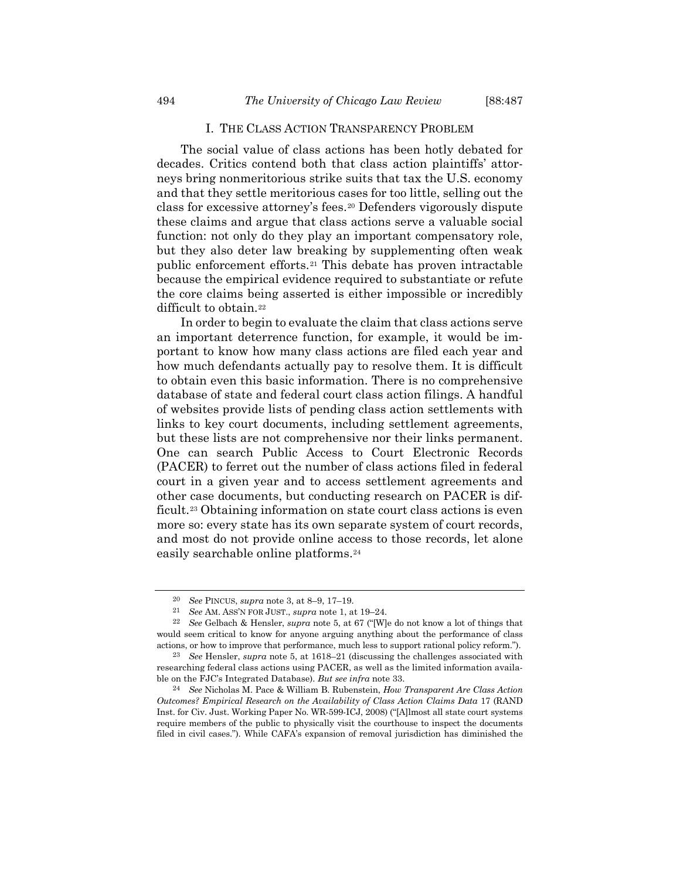# I. THE CLASS ACTION TRANSPARENCY PROBLEM

The social value of class actions has been hotly debated for decades. Critics contend both that class action plaintiffs' attorneys bring nonmeritorious strike suits that tax the U.S. economy and that they settle meritorious cases for too little, selling out the class for excessive attorney's fees.[20](#page-7-0) Defenders vigorously dispute these claims and argue that class actions serve a valuable social function: not only do they play an important compensatory role, but they also deter law breaking by supplementing often weak public enforcement efforts.[21](#page-7-1) This debate has proven intractable because the empirical evidence required to substantiate or refute the core claims being asserted is either impossible or incredibly difficult to obtain.[22](#page-7-2)

In order to begin to evaluate the claim that class actions serve an important deterrence function, for example, it would be important to know how many class actions are filed each year and how much defendants actually pay to resolve them. It is difficult to obtain even this basic information. There is no comprehensive database of state and federal court class action filings. A handful of websites provide lists of pending class action settlements with links to key court documents, including settlement agreements, but these lists are not comprehensive nor their links permanent. One can search Public Access to Court Electronic Records (PACER) to ferret out the number of class actions filed in federal court in a given year and to access settlement agreements and other case documents, but conducting research on PACER is dif-ficult.<sup>[23](#page-7-3)</sup> Obtaining information on state court class actions is even more so: every state has its own separate system of court records, and most do not provide online access to those records, let alone easily searchable online platforms.[24](#page-7-4)

<span id="page-7-5"></span><sup>20</sup> *See* PINCUS, *supra* note [3,](#page-1-7) at 8–9, 17–19.

<sup>21</sup> *See* AM. ASS'N FOR JUST., *supra* not[e 1,](#page-0-2) at 19–24.

<span id="page-7-2"></span><span id="page-7-1"></span><span id="page-7-0"></span><sup>22</sup> *See* Gelbach & Hensler, *supra* note [5,](#page-1-5) at 67 ("[W]e do not know a lot of things that would seem critical to know for anyone arguing anything about the performance of class actions, or how to improve that performance, much less to support rational policy reform.").

<span id="page-7-3"></span><sup>23</sup> *See* Hensler, *supra* note [5,](#page-1-5) at 1618–21 (discussing the challenges associated with researching federal class actions using PACER, as well as the limited information available on the FJC's Integrated Database). *But see infra* note [33.](#page-10-0)

<span id="page-7-4"></span><sup>24</sup> *See* Nicholas M. Pace & William B. Rubenstein, *How Transparent Are Class Action Outcomes? Empirical Research on the Availability of Class Action Claims Data* 17 (RAND Inst. for Civ. Just. Working Paper No. WR-599-ICJ, 2008) ("[A]lmost all state court systems require members of the public to physically visit the courthouse to inspect the documents filed in civil cases."). While CAFA's expansion of removal jurisdiction has diminished the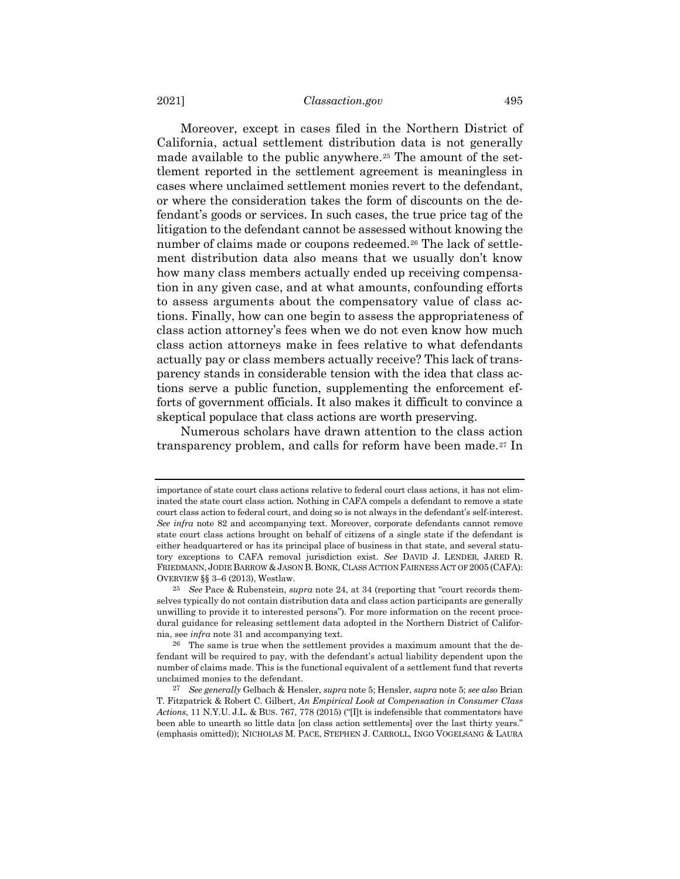Moreover, except in cases filed in the Northern District of California, actual settlement distribution data is not generally made available to the public anywhere.<sup>[25](#page-8-0)</sup> The amount of the settlement reported in the settlement agreement is meaningless in cases where unclaimed settlement monies revert to the defendant, or where the consideration takes the form of discounts on the defendant's goods or services. In such cases, the true price tag of the litigation to the defendant cannot be assessed without knowing the number of claims made or coupons redeemed.<sup>[26](#page-8-1)</sup> The lack of settlement distribution data also means that we usually don't know how many class members actually ended up receiving compensation in any given case, and at what amounts, confounding efforts to assess arguments about the compensatory value of class actions. Finally, how can one begin to assess the appropriateness of class action attorney's fees when we do not even know how much class action attorneys make in fees relative to what defendants actually pay or class members actually receive? This lack of transparency stands in considerable tension with the idea that class actions serve a public function, supplementing the enforcement efforts of government officials. It also makes it difficult to convince a skeptical populace that class actions are worth preserving.

<span id="page-8-3"></span>Numerous scholars have drawn attention to the class action transparency problem, and calls for reform have been made.[27](#page-8-2) In

importance of state court class actions relative to federal court class actions, it has not eliminated the state court class action. Nothing in CAFA compels a defendant to remove a state court class action to federal court, and doing so is not always in the defendant's self-interest. *See infra* note [82](#page-28-0) and accompanying text. Moreover, corporate defendants cannot remove state court class actions brought on behalf of citizens of a single state if the defendant is either headquartered or has its principal place of business in that state, and several statutory exceptions to CAFA removal jurisdiction exist. *See* DAVID J. LENDER, JARED R. FRIEDMANN, JODIE BARROW & JASON B. BONK, CLASS ACTION FAIRNESS ACT OF 2005 (CAFA): OVERVIEW §§ 3–6 (2013), Westlaw.

<span id="page-8-0"></span><sup>25</sup> *See* Pace & Rubenstein, *supra* not[e 24,](#page-7-5) at 34 (reporting that "court records themselves typically do not contain distribution data and class action participants are generally unwilling to provide it to interested persons"). For more information on the recent procedural guidance for releasing settlement data adopted in the Northern District of California, see *infra* note [31](#page-9-0) and accompanying text.

<span id="page-8-1"></span><sup>26</sup> The same is true when the settlement provides a maximum amount that the defendant will be required to pay, with the defendant's actual liability dependent upon the number of claims made. This is the functional equivalent of a settlement fund that reverts unclaimed monies to the defendant.

<span id="page-8-2"></span><sup>27</sup> *See generally* Gelbach & Hensler, *supra* not[e 5;](#page-1-5) Hensler, *supra* not[e 5;](#page-1-5) *see also* Brian T. Fitzpatrick & Robert C. Gilbert, *An Empirical Look at Compensation in Consumer Class Actions*, 11 N.Y.U. J.L. & BUS. 767, 778 (2015) ("[I]t is indefensible that commentators have been able to unearth so little data [on class action settlements] over the last thirty years." (emphasis omitted)); NICHOLAS M. PACE, STEPHEN J. CARROLL, INGO VOGELSANG & LAURA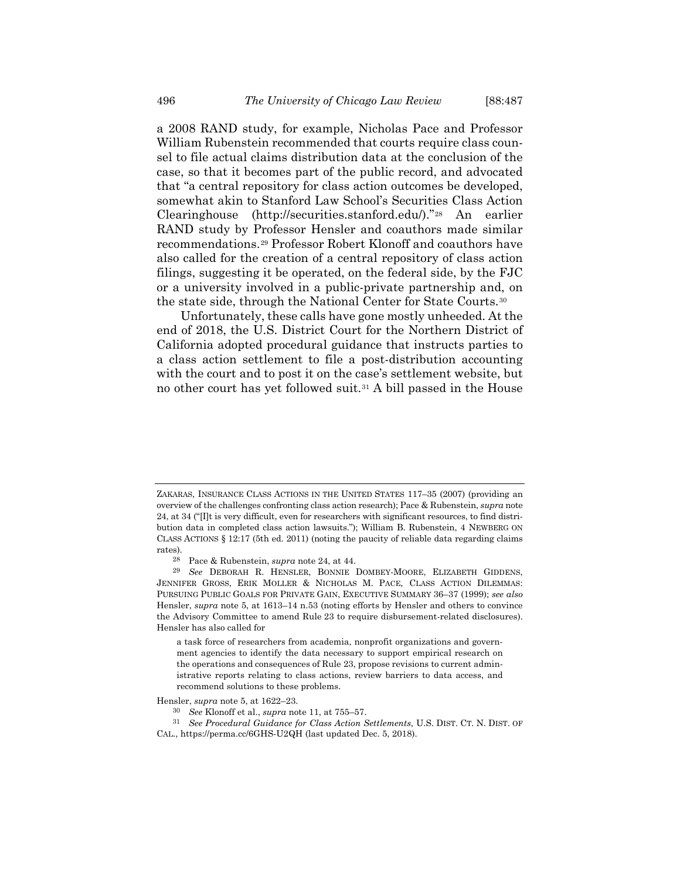a 2008 RAND study, for example, Nicholas Pace and Professor William Rubenstein recommended that courts require class counsel to file actual claims distribution data at the conclusion of the case, so that it becomes part of the public record, and advocated that "a central repository for class action outcomes be developed, somewhat akin to Stanford Law School's Securities Class Action Clearinghouse (http://securities.stanford.edu/)."[28](#page-9-1) An earlier RAND study by Professor Hensler and coauthors made similar recommendations.[29](#page-9-2) Professor Robert Klonoff and coauthors have also called for the creation of a central repository of class action filings, suggesting it be operated, on the federal side, by the FJC or a university involved in a public-private partnership and, on the state side, through the National Center for State Courts.[30](#page-9-3)

<span id="page-9-0"></span>Unfortunately, these calls have gone mostly unheeded. At the end of 2018, the U.S. District Court for the Northern District of California adopted procedural guidance that instructs parties to a class action settlement to file a post-distribution accounting with the court and to post it on the case's settlement website, but no other court has yet followed suit.[31](#page-9-4) A bill passed in the House

ZAKARAS, INSURANCE CLASS ACTIONS IN THE UNITED STATES 117–35 (2007) (providing an overview of the challenges confronting class action research); Pace & Rubenstein, *supra* note [24,](#page-7-5) at 34 ("[I]t is very difficult, even for researchers with significant resources, to find distribution data in completed class action lawsuits."); William B. Rubenstein, 4 NEWBERG ON CLASS ACTIONS § 12:17 (5th ed. 2011) (noting the paucity of reliable data regarding claims rates).

Pace & Rubenstein, *supra* not[e 24,](#page-7-5) at 44.

<span id="page-9-2"></span><span id="page-9-1"></span><sup>29</sup> *See* DEBORAH R. HENSLER, BONNIE DOMBEY-MOORE, ELIZABETH GIDDENS, JENNIFER GROSS, ERIK MOLLER & NICHOLAS M. PACE, CLASS ACTION DILEMMAS: PURSUING PUBLIC GOALS FOR PRIVATE GAIN, EXECUTIVE SUMMARY 36–37 (1999); *see also* Hensler, *supra* note [5,](#page-1-5) at 1613–14 n.53 (noting efforts by Hensler and others to convince the Advisory Committee to amend Rule 23 to require disbursement-related disclosures). Hensler has also called for

a task force of researchers from academia, nonprofit organizations and government agencies to identify the data necessary to support empirical research on the operations and consequences of Rule 23, propose revisions to current administrative reports relating to class actions, review barriers to data access, and recommend solutions to these problems.

<span id="page-9-3"></span>Hensler, *supra* not[e 5,](#page-1-5) at 1622–23.

<sup>30</sup> *See* Klonoff et al., *supra* not[e 11,](#page-3-3) at 755–57.

<span id="page-9-4"></span><sup>31</sup> *See Procedural Guidance for Class Action Settlements*, U.S. DIST. CT. N. DIST. OF CAL., https://perma.cc/6GHS-U2QH (last updated Dec. 5, 2018).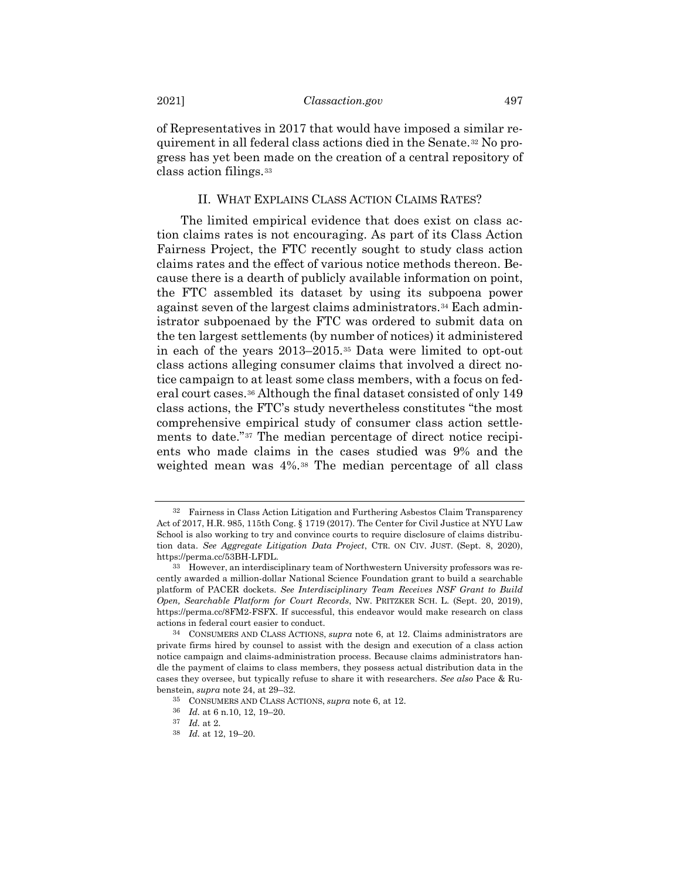of Representatives in 2017 that would have imposed a similar requirement in all federal class actions died in the Senate.[32](#page-10-1) No progress has yet been made on the creation of a central repository of class action filings.[33](#page-10-2)

# <span id="page-10-0"></span>II. WHAT EXPLAINS CLASS ACTION CLAIMS RATES?

The limited empirical evidence that does exist on class action claims rates is not encouraging. As part of its Class Action Fairness Project, the FTC recently sought to study class action claims rates and the effect of various notice methods thereon. Because there is a dearth of publicly available information on point, the FTC assembled its dataset by using its subpoena power against seven of the largest claims administrators.[34](#page-10-3) Each administrator subpoenaed by the FTC was ordered to submit data on the ten largest settlements (by number of notices) it administered in each of the years 2013–2015.[35](#page-10-4) Data were limited to opt-out class actions alleging consumer claims that involved a direct notice campaign to at least some class members, with a focus on federal court cases.[36](#page-10-5) Although the final dataset consisted of only 149 class actions, the FTC's study nevertheless constitutes "the most comprehensive empirical study of consumer class action settlements to date."[37](#page-10-6) The median percentage of direct notice recipients who made claims in the cases studied was 9% and the weighted mean was 4%.[38](#page-10-7) The median percentage of all class

<span id="page-10-1"></span><sup>32</sup> Fairness in Class Action Litigation and Furthering Asbestos Claim Transparency Act of 2017, H.R. 985, 115th Cong. § 1719 (2017). The Center for Civil Justice at NYU Law School is also working to try and convince courts to require disclosure of claims distribution data. *See Aggregate Litigation Data Project*, CTR. ON CIV. JUST. (Sept. 8, 2020), https://perma.cc/53BH-LFDL.

<span id="page-10-2"></span><sup>33</sup> However, an interdisciplinary team of Northwestern University professors was recently awarded a million-dollar National Science Foundation grant to build a searchable platform of PACER dockets. *See Interdisciplinary Team Receives NSF Grant to Build Open, Searchable Platform for Court Records*, NW. PRITZKER SCH. L. (Sept. 20, 2019), https://perma.cc/8FM2-FSFX. If successful, this endeavor would make research on class actions in federal court easier to conduct.

<span id="page-10-4"></span><span id="page-10-3"></span><sup>34</sup> CONSUMERS AND CLASS ACTIONS, *supra* note [6,](#page-1-6) at 12. Claims administrators are private firms hired by counsel to assist with the design and execution of a class action notice campaign and claims-administration process. Because claims administrators handle the payment of claims to class members, they possess actual distribution data in the cases they oversee, but typically refuse to share it with researchers. *See also* Pace & Rubenstein, *supra* not[e 24,](#page-7-5) at 29–32.

<sup>35</sup> CONSUMERS AND CLASS ACTIONS, *supra* note [6,](#page-1-6) at 12.

<span id="page-10-5"></span><sup>36</sup> *Id.* at 6 n.10, 12, 19–20.

<span id="page-10-6"></span><sup>37</sup> *Id.* at 2.

<span id="page-10-7"></span><sup>38</sup> *Id.* at 12, 19–20.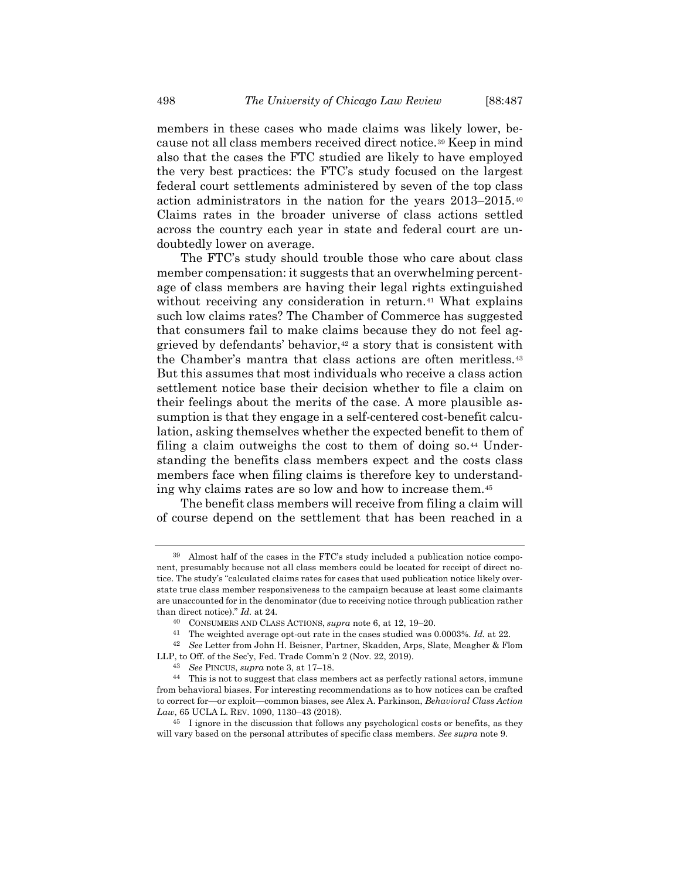members in these cases who made claims was likely lower, because not all class members received direct notice.[39](#page-11-0) Keep in mind also that the cases the FTC studied are likely to have employed the very best practices: the FTC's study focused on the largest federal court settlements administered by seven of the top class action administrators in the nation for the years 2013–2015.[40](#page-11-1) Claims rates in the broader universe of class actions settled across the country each year in state and federal court are undoubtedly lower on average.

The FTC's study should trouble those who care about class member compensation: it suggests that an overwhelming percentage of class members are having their legal rights extinguished without receiving any consideration in return.<sup>[41](#page-11-2)</sup> What explains such low claims rates? The Chamber of Commerce has suggested that consumers fail to make claims because they do not feel aggrieved by defendants' behavior, $42$  a story that is consistent with the Chamber's mantra that class actions are often meritless.[43](#page-11-4) But this assumes that most individuals who receive a class action settlement notice base their decision whether to file a claim on their feelings about the merits of the case. A more plausible assumption is that they engage in a self-centered cost-benefit calculation, asking themselves whether the expected benefit to them of filing a claim outweighs the cost to them of doing so.<sup>[44](#page-11-5)</sup> Understanding the benefits class members expect and the costs class members face when filing claims is therefore key to understanding why claims rates are so low and how to increase them.[45](#page-11-6)

The benefit class members will receive from filing a claim will of course depend on the settlement that has been reached in a

<span id="page-11-0"></span><sup>39</sup> Almost half of the cases in the FTC's study included a publication notice component, presumably because not all class members could be located for receipt of direct notice. The study's "calculated claims rates for cases that used publication notice likely overstate true class member responsiveness to the campaign because at least some claimants are unaccounted for in the denominator (due to receiving notice through publication rather than direct notice)." *Id.* at 24.

<sup>40</sup> CONSUMERS AND CLASS ACTIONS, *supra* note [6,](#page-1-6) at 12, 19–20.

<sup>41</sup> The weighted average opt-out rate in the cases studied was 0.0003%. *Id.* at 22.

<span id="page-11-3"></span><span id="page-11-2"></span><span id="page-11-1"></span><sup>42</sup> *See* Letter from John H. Beisner, Partner, Skadden, Arps, Slate, Meagher & Flom LLP, to Off. of the Sec'y, Fed. Trade Comm'n 2 (Nov. 22, 2019).

<sup>43</sup> *See* PINCUS, *supra* note [3,](#page-1-7) at 17–18.

<span id="page-11-5"></span><span id="page-11-4"></span><sup>44</sup> This is not to suggest that class members act as perfectly rational actors, immune from behavioral biases. For interesting recommendations as to how notices can be crafted to correct for—or exploit—common biases, see Alex A. Parkinson, *Behavioral Class Action Law*, 65 UCLA L. REV. 1090, 1130–43 (2018).

<span id="page-11-6"></span><sup>&</sup>lt;sup>45</sup> I ignore in the discussion that follows any psychological costs or benefits, as they will vary based on the personal attributes of specific class members. *See supra* not[e 9.](#page-3-4)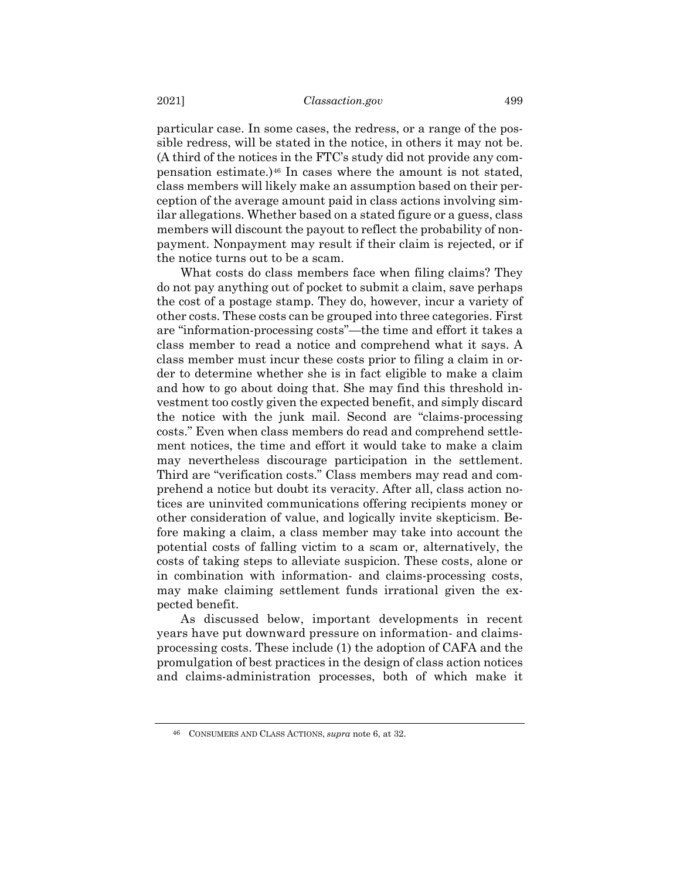particular case. In some cases, the redress, or a range of the possible redress, will be stated in the notice, in others it may not be. (A third of the notices in the FTC's study did not provide any compensation estimate.)[46](#page-12-0) In cases where the amount is not stated, class members will likely make an assumption based on their perception of the average amount paid in class actions involving similar allegations. Whether based on a stated figure or a guess, class members will discount the payout to reflect the probability of nonpayment. Nonpayment may result if their claim is rejected, or if the notice turns out to be a scam.

What costs do class members face when filing claims? They do not pay anything out of pocket to submit a claim, save perhaps the cost of a postage stamp. They do, however, incur a variety of other costs. These costs can be grouped into three categories. First are "information-processing costs"—the time and effort it takes a class member to read a notice and comprehend what it says. A class member must incur these costs prior to filing a claim in order to determine whether she is in fact eligible to make a claim and how to go about doing that. She may find this threshold investment too costly given the expected benefit, and simply discard the notice with the junk mail. Second are "claims-processing costs." Even when class members do read and comprehend settlement notices, the time and effort it would take to make a claim may nevertheless discourage participation in the settlement. Third are "verification costs." Class members may read and comprehend a notice but doubt its veracity. After all, class action notices are uninvited communications offering recipients money or other consideration of value, and logically invite skepticism. Before making a claim, a class member may take into account the potential costs of falling victim to a scam or, alternatively, the costs of taking steps to alleviate suspicion. These costs, alone or in combination with information- and claims-processing costs, may make claiming settlement funds irrational given the expected benefit.

As discussed below, important developments in recent years have put downward pressure on information- and claimsprocessing costs. These include (1) the adoption of CAFA and the promulgation of best practices in the design of class action notices and claims-administration processes, both of which make it

<span id="page-12-0"></span><sup>46</sup> CONSUMERS AND CLASS ACTIONS, *supra* note [6,](#page-1-6) at 32.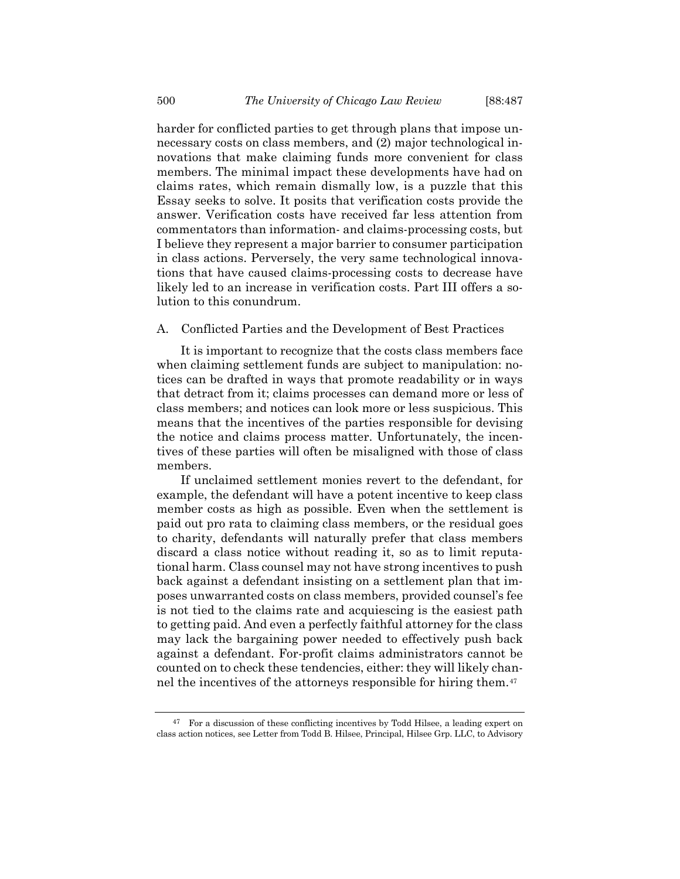harder for conflicted parties to get through plans that impose unnecessary costs on class members, and (2) major technological innovations that make claiming funds more convenient for class members. The minimal impact these developments have had on claims rates, which remain dismally low, is a puzzle that this Essay seeks to solve. It posits that verification costs provide the answer. Verification costs have received far less attention from commentators than information- and claims-processing costs, but I believe they represent a major barrier to consumer participation in class actions. Perversely, the very same technological innovations that have caused claims-processing costs to decrease have likely led to an increase in verification costs. Part III offers a solution to this conundrum.

A. Conflicted Parties and the Development of Best Practices

It is important to recognize that the costs class members face when claiming settlement funds are subject to manipulation: notices can be drafted in ways that promote readability or in ways that detract from it; claims processes can demand more or less of class members; and notices can look more or less suspicious. This means that the incentives of the parties responsible for devising the notice and claims process matter. Unfortunately, the incentives of these parties will often be misaligned with those of class members.

If unclaimed settlement monies revert to the defendant, for example, the defendant will have a potent incentive to keep class member costs as high as possible. Even when the settlement is paid out pro rata to claiming class members, or the residual goes to charity, defendants will naturally prefer that class members discard a class notice without reading it, so as to limit reputational harm. Class counsel may not have strong incentives to push back against a defendant insisting on a settlement plan that imposes unwarranted costs on class members, provided counsel's fee is not tied to the claims rate and acquiescing is the easiest path to getting paid. And even a perfectly faithful attorney for the class may lack the bargaining power needed to effectively push back against a defendant. For-profit claims administrators cannot be counted on to check these tendencies, either: they will likely channel the incentives of the attorneys responsible for hiring them.[47](#page-13-0)

<span id="page-13-1"></span><span id="page-13-0"></span><sup>&</sup>lt;sup>47</sup> For a discussion of these conflicting incentives by Todd Hilsee, a leading expert on class action notices, see Letter from Todd B. Hilsee, Principal, Hilsee Grp. LLC, to Advisory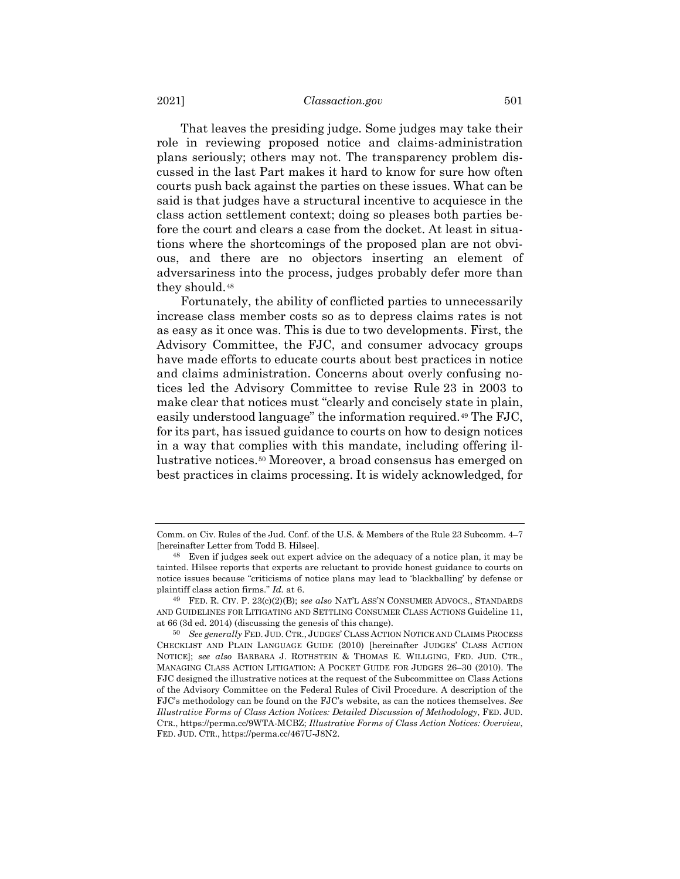That leaves the presiding judge. Some judges may take their role in reviewing proposed notice and claims-administration plans seriously; others may not. The transparency problem discussed in the last Part makes it hard to know for sure how often courts push back against the parties on these issues. What can be said is that judges have a structural incentive to acquiesce in the class action settlement context; doing so pleases both parties before the court and clears a case from the docket. At least in situations where the shortcomings of the proposed plan are not obvious, and there are no objectors inserting an element of adversariness into the process, judges probably defer more than they should.[48](#page-14-0)

<span id="page-14-3"></span>Fortunately, the ability of conflicted parties to unnecessarily increase class member costs so as to depress claims rates is not as easy as it once was. This is due to two developments. First, the Advisory Committee, the FJC, and consumer advocacy groups have made efforts to educate courts about best practices in notice and claims administration. Concerns about overly confusing notices led the Advisory Committee to revise Rule 23 in 2003 to make clear that notices must "clearly and concisely state in plain, easily understood language" the information required.[49](#page-14-1) The FJC, for its part, has issued guidance to courts on how to design notices in a way that complies with this mandate, including offering illustrative notices.[50](#page-14-2) Moreover, a broad consensus has emerged on best practices in claims processing. It is widely acknowledged, for

<span id="page-14-4"></span>Comm. on Civ. Rules of the Jud. Conf. of the U.S. & Members of the Rule 23 Subcomm. 4–7 [hereinafter Letter from Todd B. Hilsee].

<span id="page-14-0"></span><sup>48</sup> Even if judges seek out expert advice on the adequacy of a notice plan, it may be tainted. Hilsee reports that experts are reluctant to provide honest guidance to courts on notice issues because "criticisms of notice plans may lead to 'blackballing' by defense or plaintiff class action firms." *Id.* at 6.

<span id="page-14-1"></span><sup>49</sup> FED. R. CIV. P. 23(c)(2)(B); *see also* NAT'L ASS'N CONSUMER ADVOCS., STANDARDS AND GUIDELINES FOR LITIGATING AND SETTLING CONSUMER CLASS ACTIONS Guideline 11, at 66 (3d ed. 2014) (discussing the genesis of this change).

<span id="page-14-2"></span><sup>50</sup> *See generally* FED. JUD. CTR., JUDGES' CLASS ACTION NOTICE AND CLAIMS PROCESS CHECKLIST AND PLAIN LANGUAGE GUIDE (2010) [hereinafter JUDGES' CLASS ACTION NOTICE]; *see also* BARBARA J. ROTHSTEIN & THOMAS E. WILLGING, FED. JUD. CTR., MANAGING CLASS ACTION LITIGATION: A POCKET GUIDE FOR JUDGES 26–30 (2010). The FJC designed the illustrative notices at the request of the Subcommittee on Class Actions of the Advisory Committee on the Federal Rules of Civil Procedure. A description of the FJC's methodology can be found on the FJC's website, as can the notices themselves. *See Illustrative Forms of Class Action Notices: Detailed Discussion of Methodology*, FED. JUD. CTR., https://perma.cc/9WTA-MCBZ; *Illustrative Forms of Class Action Notices: Overview*, FED. JUD. CTR., https://perma.cc/467U-J8N2.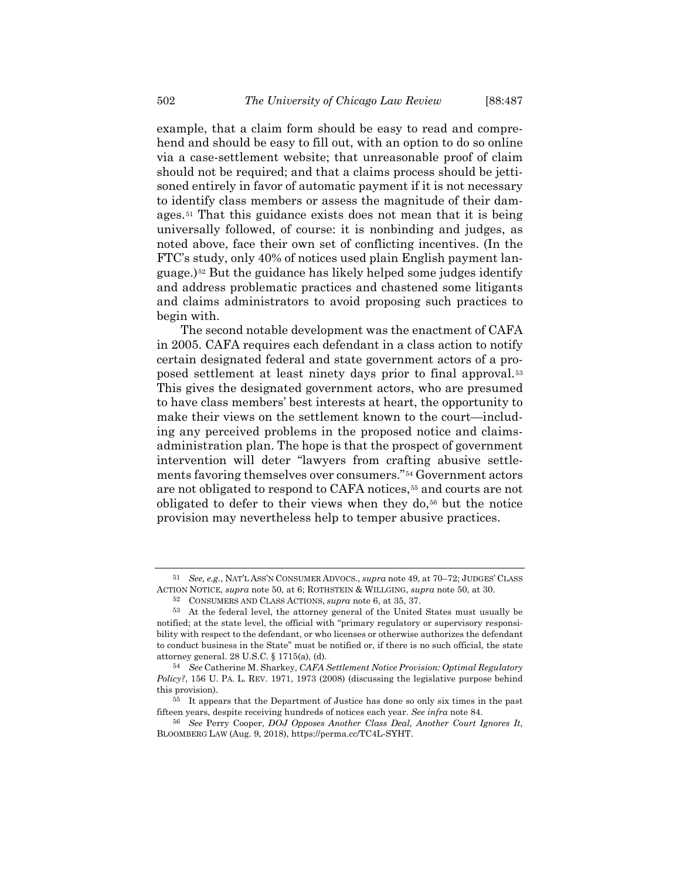example, that a claim form should be easy to read and comprehend and should be easy to fill out, with an option to do so online via a case-settlement website; that unreasonable proof of claim should not be required; and that a claims process should be jettisoned entirely in favor of automatic payment if it is not necessary to identify class members or assess the magnitude of their damages.[51](#page-15-0) That this guidance exists does not mean that it is being universally followed, of course: it is nonbinding and judges, as noted above, face their own set of conflicting incentives. (In the FTC's study, only 40% of notices used plain English payment language.)[52](#page-15-1) But the guidance has likely helped some judges identify and address problematic practices and chastened some litigants and claims administrators to avoid proposing such practices to begin with.

The second notable development was the enactment of CAFA in 2005. CAFA requires each defendant in a class action to notify certain designated federal and state government actors of a proposed settlement at least ninety days prior to final approval.[53](#page-15-2) This gives the designated government actors, who are presumed to have class members' best interests at heart, the opportunity to make their views on the settlement known to the court—including any perceived problems in the proposed notice and claimsadministration plan. The hope is that the prospect of government intervention will deter "lawyers from crafting abusive settlements favoring themselves over consumers."[54](#page-15-3) Government actors are not obligated to respond to CAFA notices,<sup>[55](#page-15-4)</sup> and courts are not obligated to defer to their views when they do, $56$  but the notice provision may nevertheless help to temper abusive practices.

<span id="page-15-0"></span><sup>51</sup> *See, e.g.*, NAT'L ASS'N CONSUMER ADVOCS., *supra* not[e 49,](#page-14-3) at 70–72; JUDGES' CLASS ACTION NOTICE, *supra* not[e 50,](#page-14-4) at 6; ROTHSTEIN & WILLGING, *supra* note [50,](#page-14-4) at 30.

<span id="page-15-6"></span><sup>52</sup> CONSUMERS AND CLASS ACTIONS, *supra* note [6,](#page-1-6) at 35, 37.

<span id="page-15-2"></span><span id="page-15-1"></span><sup>53</sup> At the federal level, the attorney general of the United States must usually be notified; at the state level, the official with "primary regulatory or supervisory responsibility with respect to the defendant, or who licenses or otherwise authorizes the defendant to conduct business in the State" must be notified or, if there is no such official, the state attorney general. 28 U.S.C. § 1715(a), (d).

<span id="page-15-3"></span><sup>54</sup> *See* Catherine M. Sharkey, *CAFA Settlement Notice Provision: Optimal Regulatory Policy?*, 156 U. PA. L. REV. 1971, 1973 (2008) (discussing the legislative purpose behind this provision).

<span id="page-15-4"></span><sup>55</sup> It appears that the Department of Justice has done so only six times in the past fifteen years, despite receiving hundreds of notices each year. *See infra* not[e 84.](#page-28-1)

<span id="page-15-5"></span><sup>56</sup> *See* Perry Cooper, *DOJ Opposes Another Class Deal, Another Court Ignores It*, BLOOMBERG LAW (Aug. 9, 2018), https://perma.cc/TC4L-SYHT.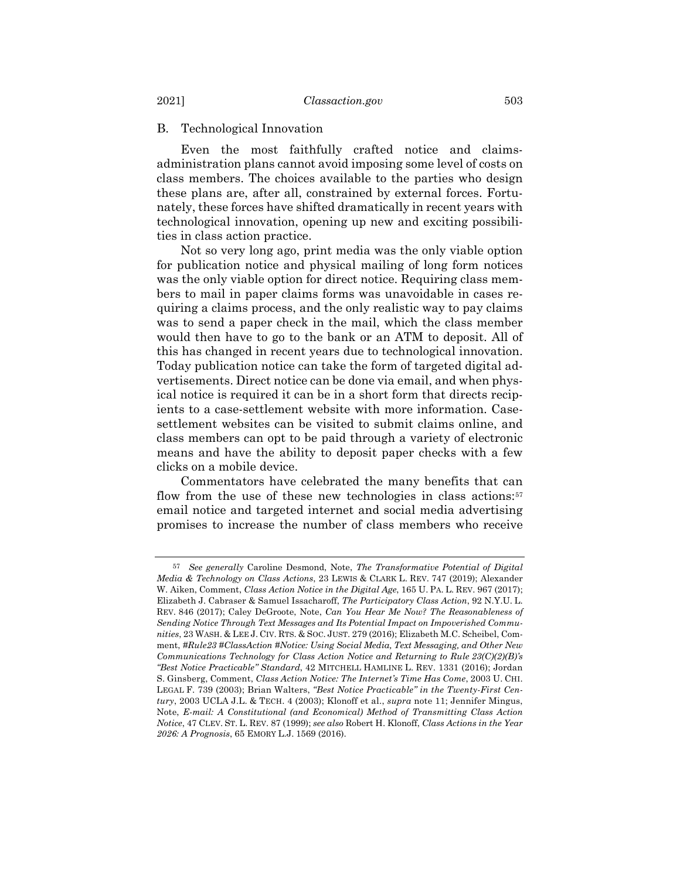# B. Technological Innovation

Even the most faithfully crafted notice and claimsadministration plans cannot avoid imposing some level of costs on class members. The choices available to the parties who design these plans are, after all, constrained by external forces. Fortunately, these forces have shifted dramatically in recent years with technological innovation, opening up new and exciting possibilities in class action practice.

Not so very long ago, print media was the only viable option for publication notice and physical mailing of long form notices was the only viable option for direct notice. Requiring class members to mail in paper claims forms was unavoidable in cases requiring a claims process, and the only realistic way to pay claims was to send a paper check in the mail, which the class member would then have to go to the bank or an ATM to deposit. All of this has changed in recent years due to technological innovation. Today publication notice can take the form of targeted digital advertisements. Direct notice can be done via email, and when physical notice is required it can be in a short form that directs recipients to a case-settlement website with more information. Casesettlement websites can be visited to submit claims online, and class members can opt to be paid through a variety of electronic means and have the ability to deposit paper checks with a few clicks on a mobile device.

<span id="page-16-1"></span>Commentators have celebrated the many benefits that can flow from the use of these new technologies in class actions:<sup>[57](#page-16-0)</sup> email notice and targeted internet and social media advertising promises to increase the number of class members who receive

<span id="page-16-0"></span><sup>57</sup> *See generally* Caroline Desmond, Note, *The Transformative Potential of Digital Media & Technology on Class Actions*, 23 LEWIS & CLARK L. REV. 747 (2019); Alexander W. Aiken, Comment, *Class Action Notice in the Digital Age*, 165 U. PA. L. REV. 967 (2017); Elizabeth J. Cabraser & Samuel Issacharoff, *The Participatory Class Action*, 92 N.Y.U. L. REV. 846 (2017); Caley DeGroote, Note, *Can You Hear Me Now? The Reasonableness of Sending Notice Through Text Messages and Its Potential Impact on Impoverished Communities*, 23 WASH. & LEE J. CIV. RTS. & SOC. JUST. 279 (2016); Elizabeth M.C. Scheibel, Comment, *#Rule23 #ClassAction #Notice: Using Social Media, Text Messaging, and Other New Communications Technology for Class Action Notice and Returning to Rule 23(C)(2)(B)'s "Best Notice Practicable" Standard*, 42 MITCHELL HAMLINE L. REV. 1331 (2016); Jordan S. Ginsberg, Comment, *Class Action Notice: The Internet's Time Has Come*, 2003 U. CHI. LEGAL F. 739 (2003); Brian Walters, *"Best Notice Practicable" in the Twenty-First Century*, 2003 UCLA J.L. & TECH. 4 (2003); Klonoff et al., *supra* note [11;](#page-3-3) Jennifer Mingus, Note, *E-mail: A Constitutional (and Economical) Method of Transmitting Class Action Notice*, 47 CLEV. ST. L. REV. 87 (1999); *see also* Robert H. Klonoff, *Class Actions in the Year 2026: A Prognosis*, 65 EMORY L.J. 1569 (2016).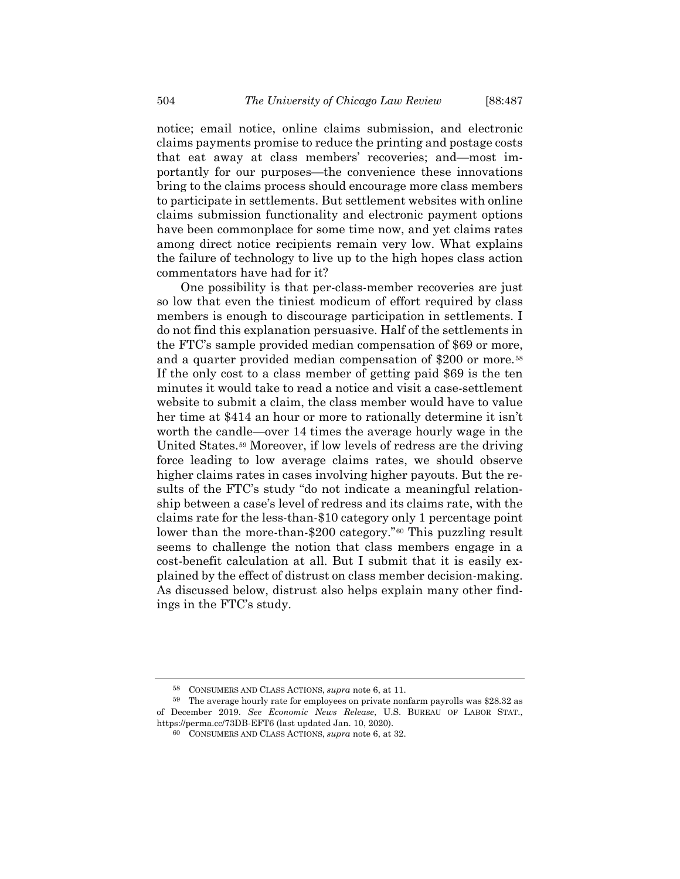notice; email notice, online claims submission, and electronic claims payments promise to reduce the printing and postage costs that eat away at class members' recoveries; and—most importantly for our purposes—the convenience these innovations bring to the claims process should encourage more class members to participate in settlements. But settlement websites with online claims submission functionality and electronic payment options have been commonplace for some time now, and yet claims rates among direct notice recipients remain very low. What explains the failure of technology to live up to the high hopes class action commentators have had for it?

One possibility is that per-class-member recoveries are just so low that even the tiniest modicum of effort required by class members is enough to discourage participation in settlements. I do not find this explanation persuasive. Half of the settlements in the FTC's sample provided median compensation of \$69 or more, and a quarter provided median compensation of \$200 or more.<sup>[58](#page-17-0)</sup> If the only cost to a class member of getting paid \$69 is the ten minutes it would take to read a notice and visit a case-settlement website to submit a claim, the class member would have to value her time at \$414 an hour or more to rationally determine it isn't worth the candle—over 14 times the average hourly wage in the United States.[59](#page-17-1) Moreover, if low levels of redress are the driving force leading to low average claims rates, we should observe higher claims rates in cases involving higher payouts. But the results of the FTC's study "do not indicate a meaningful relationship between a case's level of redress and its claims rate, with the claims rate for the less-than-\$10 category only 1 percentage point lower than the more-than-\$200 category."<sup>[60](#page-17-2)</sup> This puzzling result seems to challenge the notion that class members engage in a cost-benefit calculation at all. But I submit that it is easily explained by the effect of distrust on class member decision-making. As discussed below, distrust also helps explain many other findings in the FTC's study.

<sup>58</sup> CONSUMERS AND CLASS ACTIONS, *supra* note [6,](#page-1-6) at 11.

<span id="page-17-2"></span><span id="page-17-1"></span><span id="page-17-0"></span><sup>59</sup> The average hourly rate for employees on private nonfarm payrolls was \$28.32 as of December 2019. *See Economic News Release*, U.S. BUREAU OF LABOR STAT., https://perma.cc/73DB-EFT6 (last updated Jan. 10, 2020).

<sup>60</sup> CONSUMERS AND CLASS ACTIONS, *supra* note [6,](#page-1-6) at 32.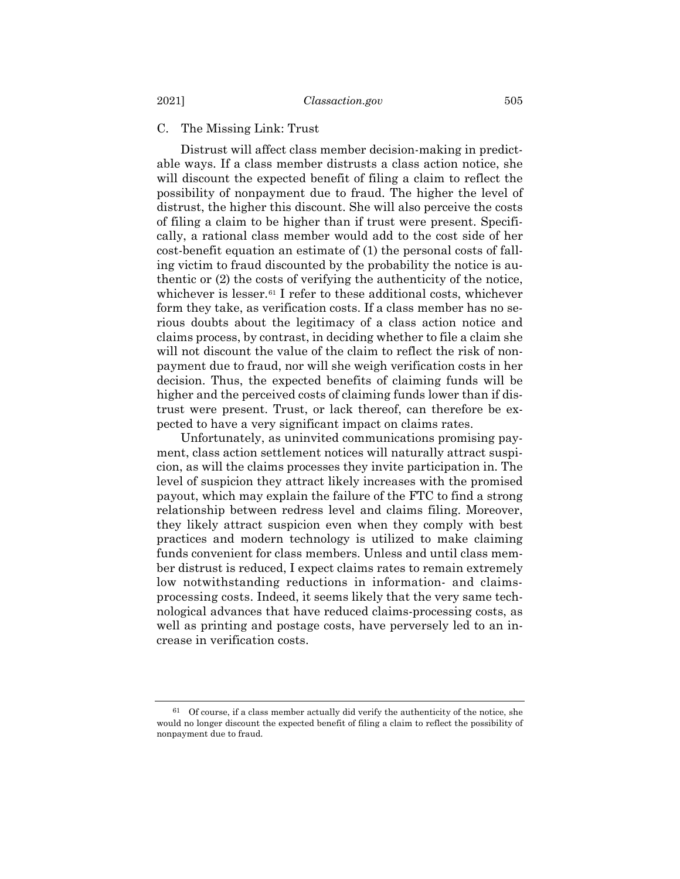# C. The Missing Link: Trust

Distrust will affect class member decision-making in predictable ways. If a class member distrusts a class action notice, she will discount the expected benefit of filing a claim to reflect the possibility of nonpayment due to fraud. The higher the level of distrust, the higher this discount. She will also perceive the costs of filing a claim to be higher than if trust were present. Specifically, a rational class member would add to the cost side of her cost-benefit equation an estimate of (1) the personal costs of falling victim to fraud discounted by the probability the notice is authentic or (2) the costs of verifying the authenticity of the notice, whichever is lesser.<sup>[61](#page-18-0)</sup> I refer to these additional costs, whichever form they take, as verification costs. If a class member has no serious doubts about the legitimacy of a class action notice and claims process, by contrast, in deciding whether to file a claim she will not discount the value of the claim to reflect the risk of nonpayment due to fraud, nor will she weigh verification costs in her decision. Thus, the expected benefits of claiming funds will be higher and the perceived costs of claiming funds lower than if distrust were present. Trust, or lack thereof, can therefore be expected to have a very significant impact on claims rates.

Unfortunately, as uninvited communications promising payment, class action settlement notices will naturally attract suspicion, as will the claims processes they invite participation in. The level of suspicion they attract likely increases with the promised payout, which may explain the failure of the FTC to find a strong relationship between redress level and claims filing. Moreover, they likely attract suspicion even when they comply with best practices and modern technology is utilized to make claiming funds convenient for class members. Unless and until class member distrust is reduced, I expect claims rates to remain extremely low notwithstanding reductions in information- and claimsprocessing costs. Indeed, it seems likely that the very same technological advances that have reduced claims-processing costs, as well as printing and postage costs, have perversely led to an increase in verification costs.

<span id="page-18-0"></span> $61$  Of course, if a class member actually did verify the authenticity of the notice, she would no longer discount the expected benefit of filing a claim to reflect the possibility of nonpayment due to fraud.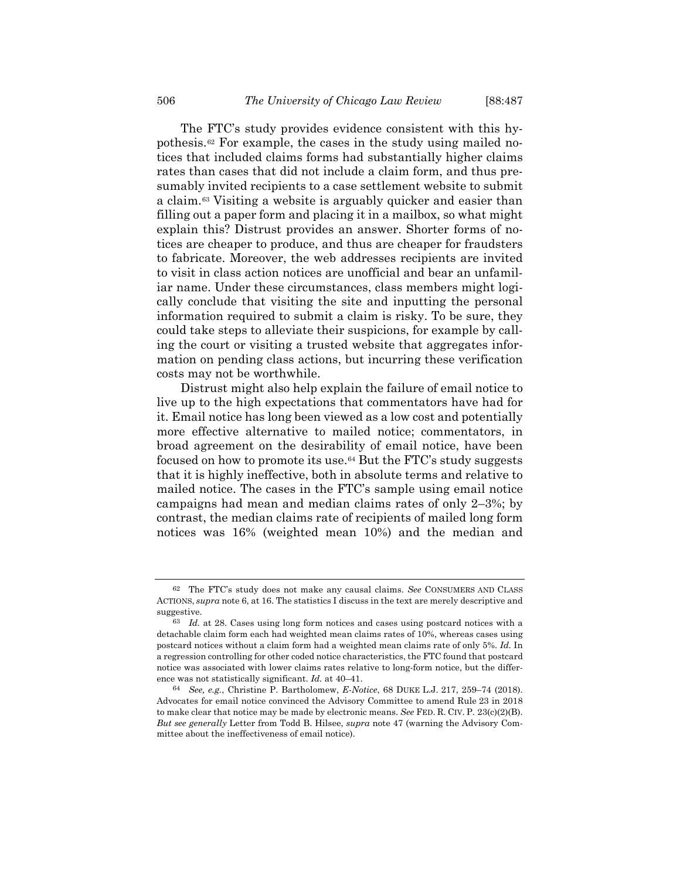The FTC's study provides evidence consistent with this hypothesis.[62](#page-19-0) For example, the cases in the study using mailed notices that included claims forms had substantially higher claims rates than cases that did not include a claim form, and thus presumably invited recipients to a case settlement website to submit a claim.[63](#page-19-1) Visiting a website is arguably quicker and easier than filling out a paper form and placing it in a mailbox, so what might explain this? Distrust provides an answer. Shorter forms of notices are cheaper to produce, and thus are cheaper for fraudsters to fabricate. Moreover, the web addresses recipients are invited to visit in class action notices are unofficial and bear an unfamiliar name. Under these circumstances, class members might logically conclude that visiting the site and inputting the personal information required to submit a claim is risky. To be sure, they could take steps to alleviate their suspicions, for example by calling the court or visiting a trusted website that aggregates information on pending class actions, but incurring these verification costs may not be worthwhile.

Distrust might also help explain the failure of email notice to live up to the high expectations that commentators have had for it. Email notice has long been viewed as a low cost and potentially more effective alternative to mailed notice; commentators, in broad agreement on the desirability of email notice, have been focused on how to promote its use.[64](#page-19-2) But the FTC's study suggests that it is highly ineffective, both in absolute terms and relative to mailed notice. The cases in the FTC's sample using email notice campaigns had mean and median claims rates of only 2–3%; by contrast, the median claims rate of recipients of mailed long form notices was 16% (weighted mean 10%) and the median and

<span id="page-19-0"></span><sup>62</sup> The FTC's study does not make any causal claims. *See* CONSUMERS AND CLASS ACTIONS, *supra* not[e 6,](#page-1-6) at 16. The statistics I discuss in the text are merely descriptive and suggestive.

<span id="page-19-1"></span><sup>63</sup> *Id.* at 28. Cases using long form notices and cases using postcard notices with a detachable claim form each had weighted mean claims rates of 10%, whereas cases using postcard notices without a claim form had a weighted mean claims rate of only 5%. *Id.* In a regression controlling for other coded notice characteristics, the FTC found that postcard notice was associated with lower claims rates relative to long-form notice, but the difference was not statistically significant. *Id.* at 40–41.

<span id="page-19-2"></span><sup>64</sup> *See, e.g.*, Christine P. Bartholomew, *E-Notice*, 68 DUKE L.J. 217, 259–74 (2018). Advocates for email notice convinced the Advisory Committee to amend Rule 23 in 2018 to make clear that notice may be made by electronic means. *See* FED. R. CIV. P. 23(c)(2)(B). *But see generally* Letter from Todd B. Hilsee, *supra* note [47](#page-13-1) (warning the Advisory Committee about the ineffectiveness of email notice).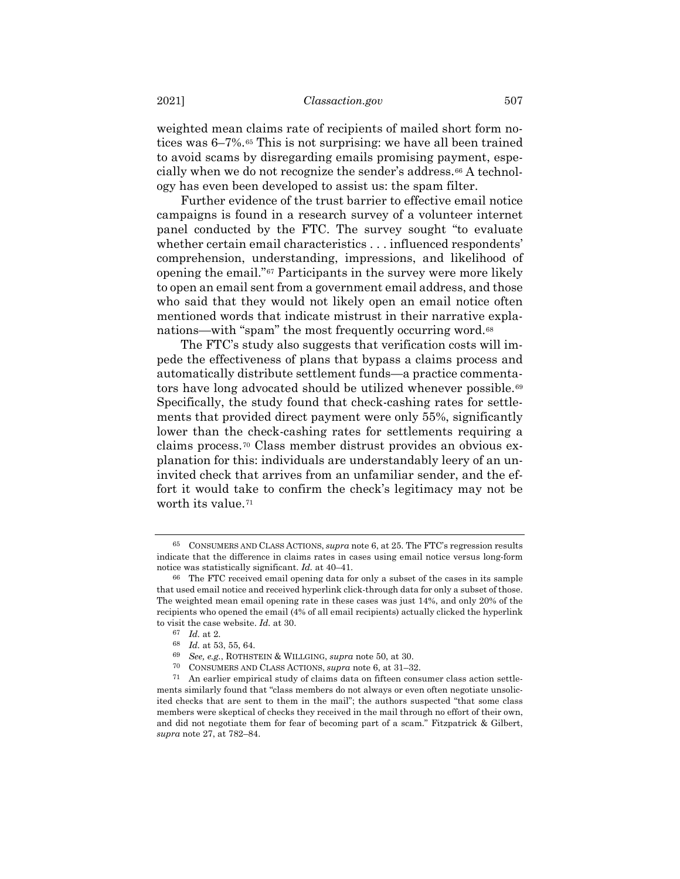weighted mean claims rate of recipients of mailed short form notices was 6–7%.[65](#page-20-0) This is not surprising: we have all been trained to avoid scams by disregarding emails promising payment, espe-cially when we do not recognize the sender's address.<sup>[66](#page-20-1)</sup> A technology has even been developed to assist us: the spam filter.

Further evidence of the trust barrier to effective email notice campaigns is found in a research survey of a volunteer internet panel conducted by the FTC. The survey sought "to evaluate whether certain email characteristics . . . influenced respondents' comprehension, understanding, impressions, and likelihood of opening the email."[67](#page-20-2) Participants in the survey were more likely to open an email sent from a government email address, and those who said that they would not likely open an email notice often mentioned words that indicate mistrust in their narrative expla-nations—with "spam" the most frequently occurring word.<sup>[68](#page-20-3)</sup>

The FTC's study also suggests that verification costs will impede the effectiveness of plans that bypass a claims process and automatically distribute settlement funds—a practice commenta-tors have long advocated should be utilized whenever possible.<sup>[69](#page-20-4)</sup> Specifically, the study found that check-cashing rates for settlements that provided direct payment were only 55%, significantly lower than the check-cashing rates for settlements requiring a claims process.[70](#page-20-5) Class member distrust provides an obvious explanation for this: individuals are understandably leery of an uninvited check that arrives from an unfamiliar sender, and the effort it would take to confirm the check's legitimacy may not be worth its value.<sup>[71](#page-20-6)</sup>

<span id="page-20-0"></span><sup>65</sup> CONSUMERS AND CLASS ACTIONS, *supra* not[e 6,](#page-1-6) at 25. The FTC's regression results indicate that the difference in claims rates in cases using email notice versus long-form notice was statistically significant. *Id.* at 40–41.

<span id="page-20-1"></span><sup>66</sup> The FTC received email opening data for only a subset of the cases in its sample that used email notice and received hyperlink click-through data for only a subset of those. The weighted mean email opening rate in these cases was just 14%, and only 20% of the recipients who opened the email (4% of all email recipients) actually clicked the hyperlink to visit the case website. *Id.* at 30.

<sup>67</sup> *Id.* at 2.

<sup>68</sup> *Id.* at 53, 55, 64.

<sup>69</sup> *See, e.g.*, ROTHSTEIN & WILLGING, *supra* not[e 50,](#page-14-4) at 30.

<sup>70</sup> CONSUMERS AND CLASS ACTIONS, *supra* note [6,](#page-1-6) at 31–32.

<span id="page-20-6"></span><span id="page-20-5"></span><span id="page-20-4"></span><span id="page-20-3"></span><span id="page-20-2"></span><sup>71</sup> An earlier empirical study of claims data on fifteen consumer class action settlements similarly found that "class members do not always or even often negotiate unsolicited checks that are sent to them in the mail"; the authors suspected "that some class members were skeptical of checks they received in the mail through no effort of their own, and did not negotiate them for fear of becoming part of a scam." Fitzpatrick & Gilbert, *supra* not[e 27,](#page-8-3) at 782–84.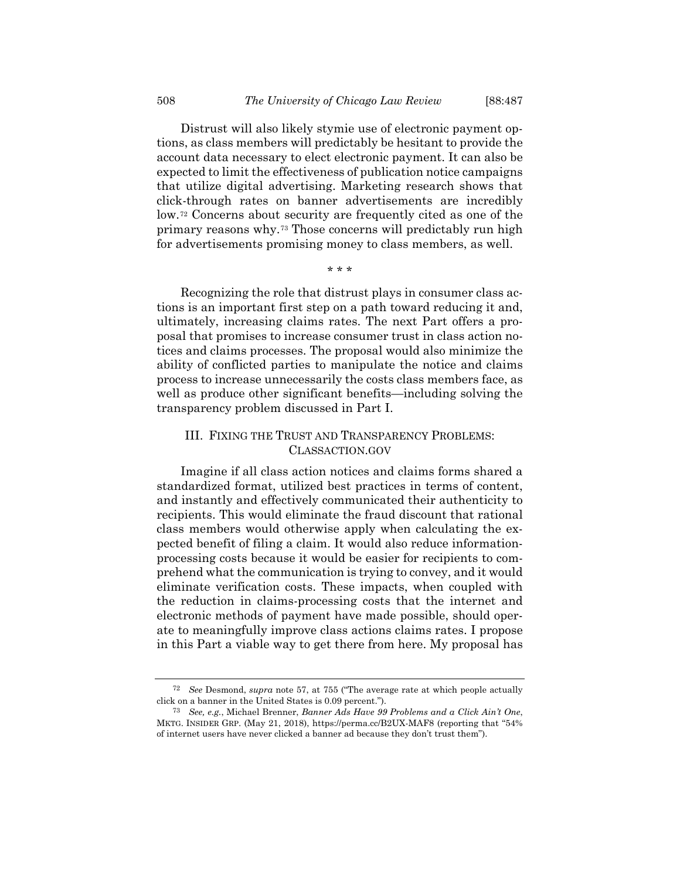Distrust will also likely stymie use of electronic payment options, as class members will predictably be hesitant to provide the account data necessary to elect electronic payment. It can also be expected to limit the effectiveness of publication notice campaigns that utilize digital advertising. Marketing research shows that click-through rates on banner advertisements are incredibly low.[72](#page-21-0) Concerns about security are frequently cited as one of the primary reasons why.[73](#page-21-1) Those concerns will predictably run high for advertisements promising money to class members, as well.

\* \* \*

Recognizing the role that distrust plays in consumer class actions is an important first step on a path toward reducing it and, ultimately, increasing claims rates. The next Part offers a proposal that promises to increase consumer trust in class action notices and claims processes. The proposal would also minimize the ability of conflicted parties to manipulate the notice and claims process to increase unnecessarily the costs class members face, as well as produce other significant benefits—including solving the transparency problem discussed in Part I.

# III. FIXING THE TRUST AND TRANSPARENCY PROBLEMS: CLASSACTION.GOV

Imagine if all class action notices and claims forms shared a standardized format, utilized best practices in terms of content, and instantly and effectively communicated their authenticity to recipients. This would eliminate the fraud discount that rational class members would otherwise apply when calculating the expected benefit of filing a claim. It would also reduce informationprocessing costs because it would be easier for recipients to comprehend what the communication is trying to convey, and it would eliminate verification costs. These impacts, when coupled with the reduction in claims-processing costs that the internet and electronic methods of payment have made possible, should operate to meaningfully improve class actions claims rates. I propose in this Part a viable way to get there from here. My proposal has

<span id="page-21-0"></span><sup>72</sup> *See* Desmond, *supra* note [57,](#page-16-1) at 755 ("The average rate at which people actually click on a banner in the United States is 0.09 percent.").

<span id="page-21-1"></span><sup>73</sup> *See, e.g.*, Michael Brenner, *Banner Ads Have 99 Problems and a Click Ain't One*, MKTG. INSIDER GRP. (May 21, 2018), https://perma.cc/B2UX-MAF8 (reporting that "54% of internet users have never clicked a banner ad because they don't trust them").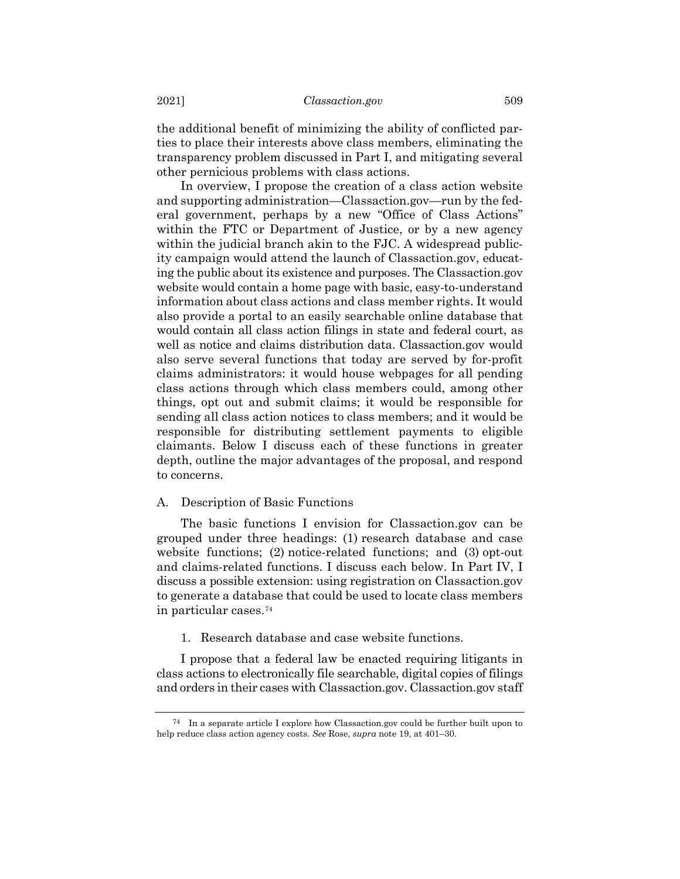the additional benefit of minimizing the ability of conflicted parties to place their interests above class members, eliminating the transparency problem discussed in Part I, and mitigating several other pernicious problems with class actions.

In overview, I propose the creation of a class action website and supporting administration—Classaction.gov—run by the federal government, perhaps by a new "Office of Class Actions" within the FTC or Department of Justice, or by a new agency within the judicial branch akin to the FJC. A widespread publicity campaign would attend the launch of Classaction.gov, educating the public about its existence and purposes. The Classaction.gov website would contain a home page with basic, easy-to-understand information about class actions and class member rights. It would also provide a portal to an easily searchable online database that would contain all class action filings in state and federal court, as well as notice and claims distribution data. Classaction.gov would also serve several functions that today are served by for-profit claims administrators: it would house webpages for all pending class actions through which class members could, among other things, opt out and submit claims; it would be responsible for sending all class action notices to class members; and it would be responsible for distributing settlement payments to eligible claimants. Below I discuss each of these functions in greater depth, outline the major advantages of the proposal, and respond to concerns.

## A. Description of Basic Functions

The basic functions I envision for Classaction.gov can be grouped under three headings: (1) research database and case website functions; (2) notice-related functions; and (3) opt-out and claims-related functions. I discuss each below. In Part IV, I discuss a possible extension: using registration on Classaction.gov to generate a database that could be used to locate class members in particular cases.[74](#page-22-0)

1. Research database and case website functions.

I propose that a federal law be enacted requiring litigants in class actions to electronically file searchable, digital copies of filings and orders in their cases with Classaction.gov. Classaction.gov staff

<span id="page-22-0"></span> $74$  In a separate article I explore how Classaction.gov could be further built upon to help reduce class action agency costs. *See* Rose, *supra* not[e 19,](#page-6-2) at 401–30.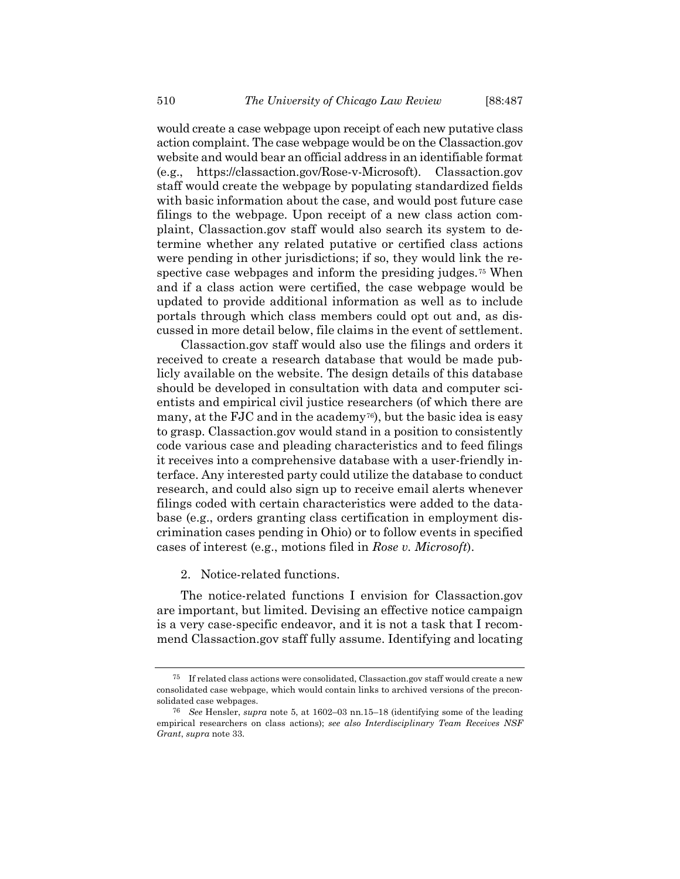would create a case webpage upon receipt of each new putative class action complaint. The case webpage would be on the Classaction.gov website and would bear an official address in an identifiable format (e.g., https://classaction.gov/Rose-v-Microsoft). Classaction.gov staff would create the webpage by populating standardized fields with basic information about the case, and would post future case filings to the webpage. Upon receipt of a new class action complaint, Classaction.gov staff would also search its system to determine whether any related putative or certified class actions were pending in other jurisdictions; if so, they would link the re-spective case webpages and inform the presiding judges.<sup>[75](#page-23-0)</sup> When and if a class action were certified, the case webpage would be updated to provide additional information as well as to include portals through which class members could opt out and, as discussed in more detail below, file claims in the event of settlement.

Classaction.gov staff would also use the filings and orders it received to create a research database that would be made publicly available on the website. The design details of this database should be developed in consultation with data and computer scientists and empirical civil justice researchers (of which there are many, at the FJC and in the academy<sup>76</sup>), but the basic idea is easy to grasp. Classaction.gov would stand in a position to consistently code various case and pleading characteristics and to feed filings it receives into a comprehensive database with a user-friendly interface. Any interested party could utilize the database to conduct research, and could also sign up to receive email alerts whenever filings coded with certain characteristics were added to the database (e.g., orders granting class certification in employment discrimination cases pending in Ohio) or to follow events in specified cases of interest (e.g., motions filed in *Rose v. Microsoft*).

2. Notice-related functions.

The notice-related functions I envision for Classaction.gov are important, but limited. Devising an effective notice campaign is a very case-specific endeavor, and it is not a task that I recommend Classaction.gov staff fully assume. Identifying and locating

<span id="page-23-0"></span><sup>75</sup> If related class actions were consolidated, Classaction.gov staff would create a new consolidated case webpage, which would contain links to archived versions of the preconsolidated case webpages.

<span id="page-23-1"></span><sup>76</sup> *See* Hensler, *supra* note [5,](#page-1-5) at 1602–03 nn.15–18 (identifying some of the leading empirical researchers on class actions); *see also Interdisciplinary Team Receives NSF Grant*, *supra* not[e 33.](#page-10-0)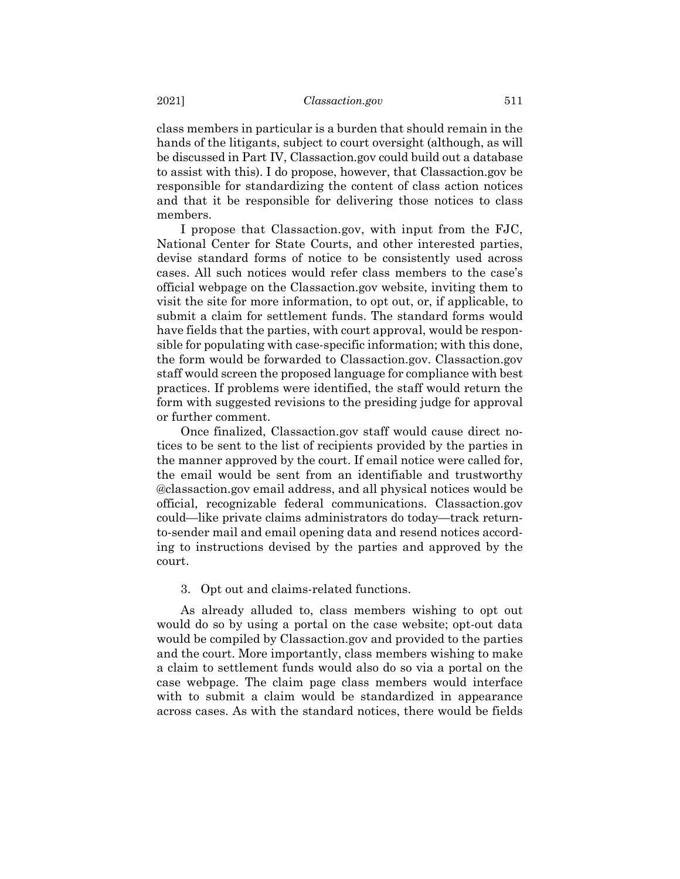class members in particular is a burden that should remain in the hands of the litigants, subject to court oversight (although, as will be discussed in Part IV, Classaction.gov could build out a database to assist with this). I do propose, however, that Classaction.gov be responsible for standardizing the content of class action notices and that it be responsible for delivering those notices to class members.

I propose that Classaction.gov, with input from the FJC, National Center for State Courts, and other interested parties, devise standard forms of notice to be consistently used across cases. All such notices would refer class members to the case's official webpage on the Classaction.gov website, inviting them to visit the site for more information, to opt out, or, if applicable, to submit a claim for settlement funds. The standard forms would have fields that the parties, with court approval, would be responsible for populating with case-specific information; with this done, the form would be forwarded to Classaction.gov. Classaction.gov staff would screen the proposed language for compliance with best practices. If problems were identified, the staff would return the form with suggested revisions to the presiding judge for approval or further comment.

Once finalized, Classaction.gov staff would cause direct notices to be sent to the list of recipients provided by the parties in the manner approved by the court. If email notice were called for, the email would be sent from an identifiable and trustworthy @classaction.gov email address, and all physical notices would be official, recognizable federal communications. Classaction.gov could—like private claims administrators do today—track returnto-sender mail and email opening data and resend notices according to instructions devised by the parties and approved by the court.

# 3. Opt out and claims-related functions.

As already alluded to, class members wishing to opt out would do so by using a portal on the case website; opt-out data would be compiled by Classaction.gov and provided to the parties and the court. More importantly, class members wishing to make a claim to settlement funds would also do so via a portal on the case webpage. The claim page class members would interface with to submit a claim would be standardized in appearance across cases. As with the standard notices, there would be fields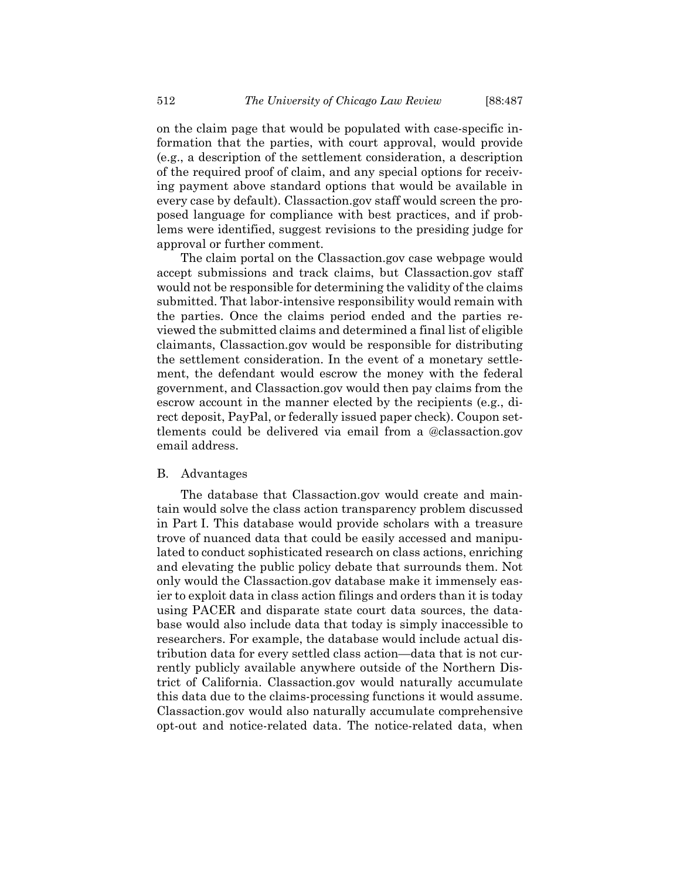on the claim page that would be populated with case-specific information that the parties, with court approval, would provide (e.g., a description of the settlement consideration, a description of the required proof of claim, and any special options for receiving payment above standard options that would be available in every case by default). Classaction.gov staff would screen the proposed language for compliance with best practices, and if problems were identified, suggest revisions to the presiding judge for approval or further comment.

The claim portal on the Classaction.gov case webpage would accept submissions and track claims, but Classaction.gov staff would not be responsible for determining the validity of the claims submitted. That labor-intensive responsibility would remain with the parties. Once the claims period ended and the parties reviewed the submitted claims and determined a final list of eligible claimants, Classaction.gov would be responsible for distributing the settlement consideration. In the event of a monetary settlement, the defendant would escrow the money with the federal government, and Classaction.gov would then pay claims from the escrow account in the manner elected by the recipients (e.g., direct deposit, PayPal, or federally issued paper check). Coupon settlements could be delivered via email from a @classaction.gov email address.

## B. Advantages

The database that Classaction.gov would create and maintain would solve the class action transparency problem discussed in Part I. This database would provide scholars with a treasure trove of nuanced data that could be easily accessed and manipulated to conduct sophisticated research on class actions, enriching and elevating the public policy debate that surrounds them. Not only would the Classaction.gov database make it immensely easier to exploit data in class action filings and orders than it is today using PACER and disparate state court data sources, the database would also include data that today is simply inaccessible to researchers. For example, the database would include actual distribution data for every settled class action—data that is not currently publicly available anywhere outside of the Northern District of California. Classaction.gov would naturally accumulate this data due to the claims-processing functions it would assume. Classaction.gov would also naturally accumulate comprehensive opt-out and notice-related data. The notice-related data, when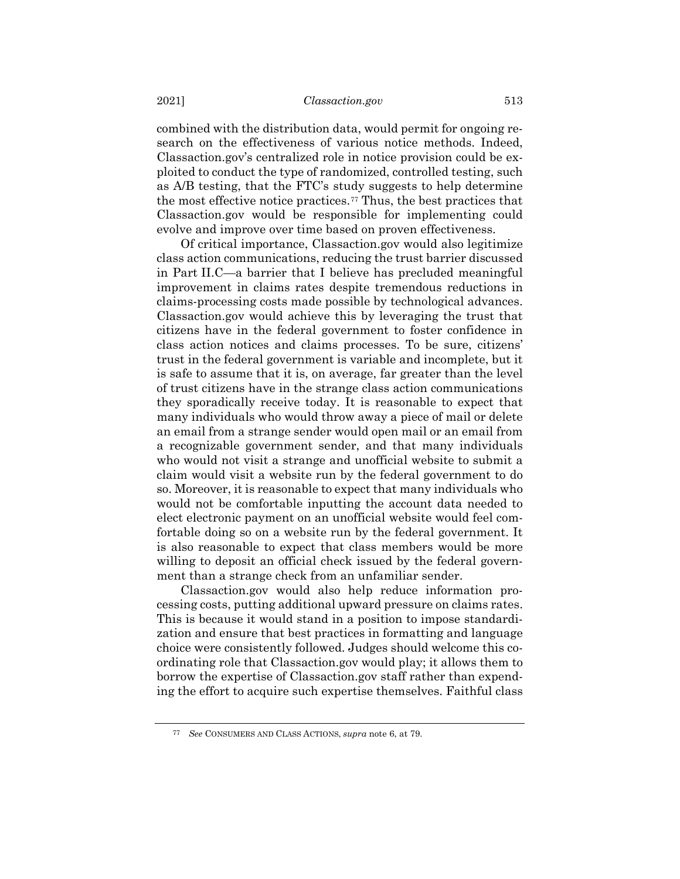combined with the distribution data, would permit for ongoing research on the effectiveness of various notice methods. Indeed, Classaction.gov's centralized role in notice provision could be exploited to conduct the type of randomized, controlled testing, such as A/B testing, that the FTC's study suggests to help determine the most effective notice practices.[77](#page-26-0) Thus, the best practices that Classaction.gov would be responsible for implementing could evolve and improve over time based on proven effectiveness.

Of critical importance, Classaction.gov would also legitimize class action communications, reducing the trust barrier discussed in Part II.C—a barrier that I believe has precluded meaningful improvement in claims rates despite tremendous reductions in claims-processing costs made possible by technological advances. Classaction.gov would achieve this by leveraging the trust that citizens have in the federal government to foster confidence in class action notices and claims processes. To be sure, citizens' trust in the federal government is variable and incomplete, but it is safe to assume that it is, on average, far greater than the level of trust citizens have in the strange class action communications they sporadically receive today. It is reasonable to expect that many individuals who would throw away a piece of mail or delete an email from a strange sender would open mail or an email from a recognizable government sender, and that many individuals who would not visit a strange and unofficial website to submit a claim would visit a website run by the federal government to do so. Moreover, it is reasonable to expect that many individuals who would not be comfortable inputting the account data needed to elect electronic payment on an unofficial website would feel comfortable doing so on a website run by the federal government. It is also reasonable to expect that class members would be more willing to deposit an official check issued by the federal government than a strange check from an unfamiliar sender.

Classaction.gov would also help reduce information processing costs, putting additional upward pressure on claims rates. This is because it would stand in a position to impose standardization and ensure that best practices in formatting and language choice were consistently followed. Judges should welcome this coordinating role that Classaction.gov would play; it allows them to borrow the expertise of Classaction.gov staff rather than expending the effort to acquire such expertise themselves. Faithful class

<span id="page-26-0"></span><sup>77</sup> *See* CONSUMERS AND CLASS ACTIONS, *supra* not[e 6,](#page-1-6) at 79.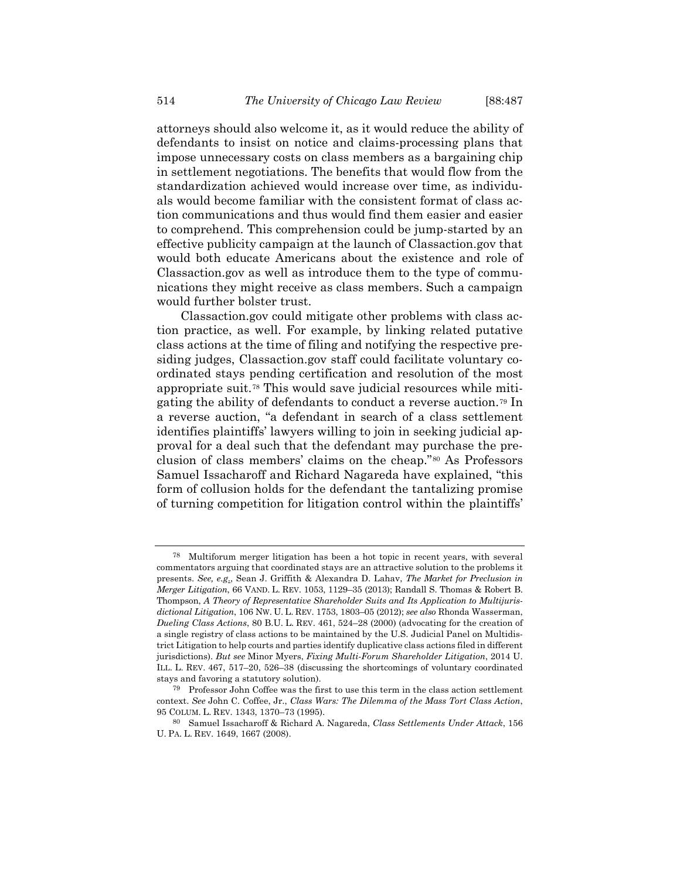attorneys should also welcome it, as it would reduce the ability of defendants to insist on notice and claims-processing plans that impose unnecessary costs on class members as a bargaining chip in settlement negotiations. The benefits that would flow from the standardization achieved would increase over time, as individuals would become familiar with the consistent format of class action communications and thus would find them easier and easier to comprehend. This comprehension could be jump-started by an effective publicity campaign at the launch of Classaction.gov that would both educate Americans about the existence and role of Classaction.gov as well as introduce them to the type of communications they might receive as class members. Such a campaign would further bolster trust.

Classaction.gov could mitigate other problems with class action practice, as well. For example, by linking related putative class actions at the time of filing and notifying the respective presiding judges, Classaction.gov staff could facilitate voluntary coordinated stays pending certification and resolution of the most appropriate suit.[78](#page-27-0) This would save judicial resources while mitigating the ability of defendants to conduct a reverse auction.[79](#page-27-1) In a reverse auction, "a defendant in search of a class settlement identifies plaintiffs' lawyers willing to join in seeking judicial approval for a deal such that the defendant may purchase the preclusion of class members' claims on the cheap."[80](#page-27-2) As Professors Samuel Issacharoff and Richard Nagareda have explained, "this form of collusion holds for the defendant the tantalizing promise of turning competition for litigation control within the plaintiffs'

<span id="page-27-0"></span><sup>78</sup> Multiforum merger litigation has been a hot topic in recent years, with several commentators arguing that coordinated stays are an attractive solution to the problems it presents. *See, e.g*., Sean J. Griffith & Alexandra D. Lahav, *The Market for Preclusion in Merger Litigation*, 66 VAND. L. REV. 1053, 1129–35 (2013); Randall S. Thomas & Robert B. Thompson, *A Theory of Representative Shareholder Suits and Its Application to Multijurisdictional Litigation*, 106 NW. U. L. REV. 1753, 1803–05 (2012); *see also* Rhonda Wasserman, *Dueling Class Actions*, 80 B.U. L. REV. 461, 524–28 (2000) (advocating for the creation of a single registry of class actions to be maintained by the U.S. Judicial Panel on Multidistrict Litigation to help courts and parties identify duplicative class actions filed in different jurisdictions). *But see* Minor Myers, *Fixing Multi-Forum Shareholder Litigation*, 2014 U. ILL. L. REV. 467, 517–20, 526–38 (discussing the shortcomings of voluntary coordinated stays and favoring a statutory solution).

<span id="page-27-1"></span><sup>79</sup> Professor John Coffee was the first to use this term in the class action settlement context. *See* John C. Coffee, Jr., *Class Wars: The Dilemma of the Mass Tort Class Action*, 95 COLUM. L. REV. 1343, 1370–73 (1995).

<span id="page-27-2"></span><sup>80</sup> Samuel Issacharoff & Richard A. Nagareda, *Class Settlements Under Attack*, 156 U. PA. L. REV. 1649, 1667 (2008).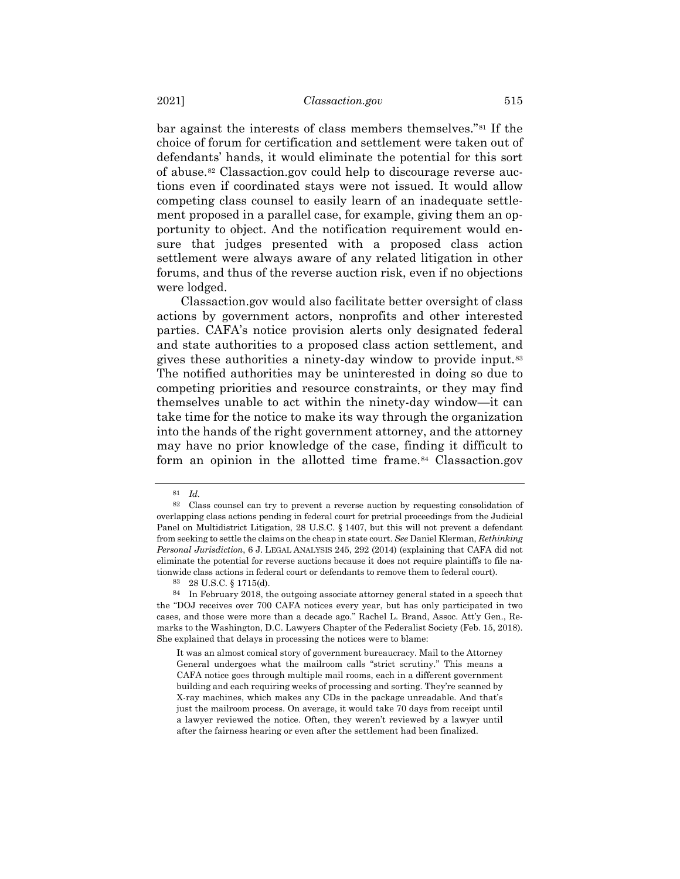<span id="page-28-0"></span>bar against the interests of class members themselves."[81](#page-28-2) If the choice of forum for certification and settlement were taken out of defendants' hands, it would eliminate the potential for this sort of abuse.[82](#page-28-3) Classaction.gov could help to discourage reverse auctions even if coordinated stays were not issued. It would allow competing class counsel to easily learn of an inadequate settlement proposed in a parallel case, for example, giving them an opportunity to object. And the notification requirement would ensure that judges presented with a proposed class action settlement were always aware of any related litigation in other forums, and thus of the reverse auction risk, even if no objections were lodged.

Classaction.gov would also facilitate better oversight of class actions by government actors, nonprofits and other interested parties. CAFA's notice provision alerts only designated federal and state authorities to a proposed class action settlement, and gives these authorities a ninety-day window to provide input.[83](#page-28-4) The notified authorities may be uninterested in doing so due to competing priorities and resource constraints, or they may find themselves unable to act within the ninety-day window—it can take time for the notice to make its way through the organization into the hands of the right government attorney, and the attorney may have no prior knowledge of the case, finding it difficult to form an opinion in the allotted time frame.<sup>[84](#page-28-5)</sup> Classaction.gov

<span id="page-28-1"></span><sup>81</sup> *Id.*

<span id="page-28-3"></span><span id="page-28-2"></span><sup>82</sup> Class counsel can try to prevent a reverse auction by requesting consolidation of overlapping class actions pending in federal court for pretrial proceedings from the Judicial Panel on Multidistrict Litigation, 28 U.S.C. § 1407, but this will not prevent a defendant from seeking to settle the claims on the cheap in state court. *See* Daniel Klerman, *Rethinking Personal Jurisdiction*, 6 J. LEGAL ANALYSIS 245, 292 (2014) (explaining that CAFA did not eliminate the potential for reverse auctions because it does not require plaintiffs to file nationwide class actions in federal court or defendants to remove them to federal court).

<sup>83</sup> 28 U.S.C. § 1715(d).

<span id="page-28-5"></span><span id="page-28-4"></span><sup>84</sup> In February 2018, the outgoing associate attorney general stated in a speech that the "DOJ receives over 700 CAFA notices every year, but has only participated in two cases, and those were more than a decade ago." Rachel L. Brand, Assoc. Att'y Gen., Remarks to the Washington, D.C. Lawyers Chapter of the Federalist Society (Feb. 15, 2018). She explained that delays in processing the notices were to blame:

It was an almost comical story of government bureaucracy. Mail to the Attorney General undergoes what the mailroom calls "strict scrutiny." This means a CAFA notice goes through multiple mail rooms, each in a different government building and each requiring weeks of processing and sorting. They're scanned by X-ray machines, which makes any CDs in the package unreadable. And that's just the mailroom process. On average, it would take 70 days from receipt until a lawyer reviewed the notice. Often, they weren't reviewed by a lawyer until after the fairness hearing or even after the settlement had been finalized.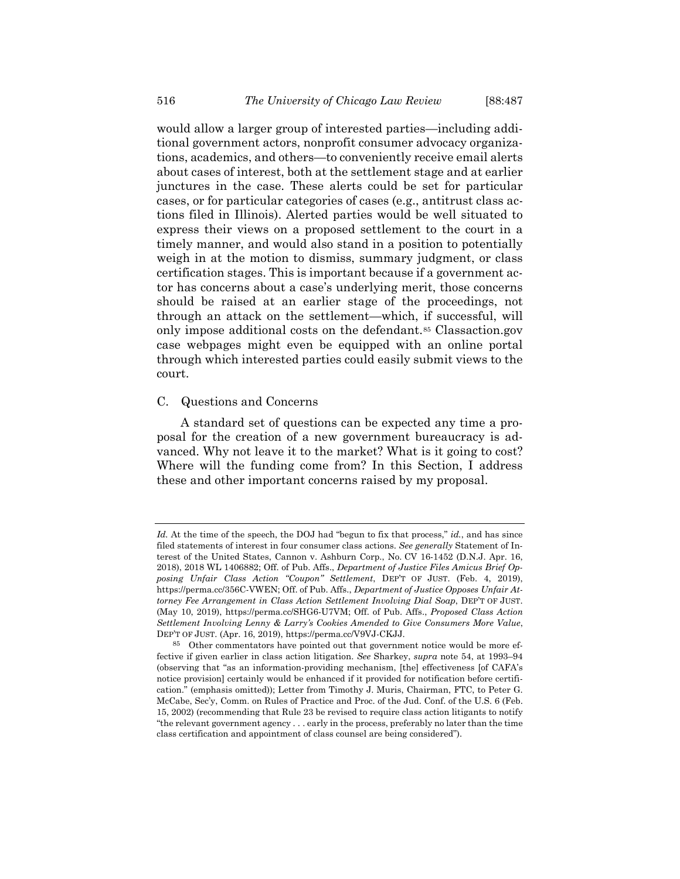would allow a larger group of interested parties—including additional government actors, nonprofit consumer advocacy organizations, academics, and others—to conveniently receive email alerts about cases of interest, both at the settlement stage and at earlier junctures in the case. These alerts could be set for particular cases, or for particular categories of cases (e.g., antitrust class actions filed in Illinois). Alerted parties would be well situated to express their views on a proposed settlement to the court in a timely manner, and would also stand in a position to potentially weigh in at the motion to dismiss, summary judgment, or class certification stages. This is important because if a government actor has concerns about a case's underlying merit, those concerns should be raised at an earlier stage of the proceedings, not through an attack on the settlement—which, if successful, will only impose additional costs on the defendant.[85](#page-29-0) Classaction.gov case webpages might even be equipped with an online portal through which interested parties could easily submit views to the court.

## C. Questions and Concerns

A standard set of questions can be expected any time a proposal for the creation of a new government bureaucracy is advanced. Why not leave it to the market? What is it going to cost? Where will the funding come from? In this Section, I address these and other important concerns raised by my proposal.

*Id.* At the time of the speech, the DOJ had "begun to fix that process," *id.*, and has since filed statements of interest in four consumer class actions. *See generally* Statement of Interest of the United States, Cannon v. Ashburn Corp., No. CV 16-1452 (D.N.J. Apr. 16, 2018), 2018 WL 1406882; Off. of Pub. Affs., *Department of Justice Files Amicus Brief Opposing Unfair Class Action "Coupon" Settlement*, DEP'T OF JUST. (Feb. 4, 2019), https://perma.cc/356C-VWEN; Off. of Pub. Affs., *Department of Justice Opposes Unfair Attorney Fee Arrangement in Class Action Settlement Involving Dial Soap*, DEP'T OF JUST. (May 10, 2019), https://perma.cc/SHG6-U7VM; Off. of Pub. Affs., *Proposed Class Action Settlement Involving Lenny & Larry's Cookies Amended to Give Consumers More Value*, DEP'T OF JUST. (Apr. 16, 2019), https://perma.cc/V9VJ-CKJJ.

<span id="page-29-0"></span><sup>85</sup> Other commentators have pointed out that government notice would be more effective if given earlier in class action litigation. *See* Sharkey, *supra* note [54,](#page-15-6) at 1993–94 (observing that "as an information-providing mechanism, [the] effectiveness [of CAFA's notice provision] certainly would be enhanced if it provided for notification before certification." (emphasis omitted)); Letter from Timothy J. Muris, Chairman, FTC, to Peter G. McCabe, Sec'y, Comm. on Rules of Practice and Proc. of the Jud. Conf. of the U.S. 6 (Feb. 15, 2002) (recommending that Rule 23 be revised to require class action litigants to notify "the relevant government agency . . . early in the process, preferably no later than the time class certification and appointment of class counsel are being considered").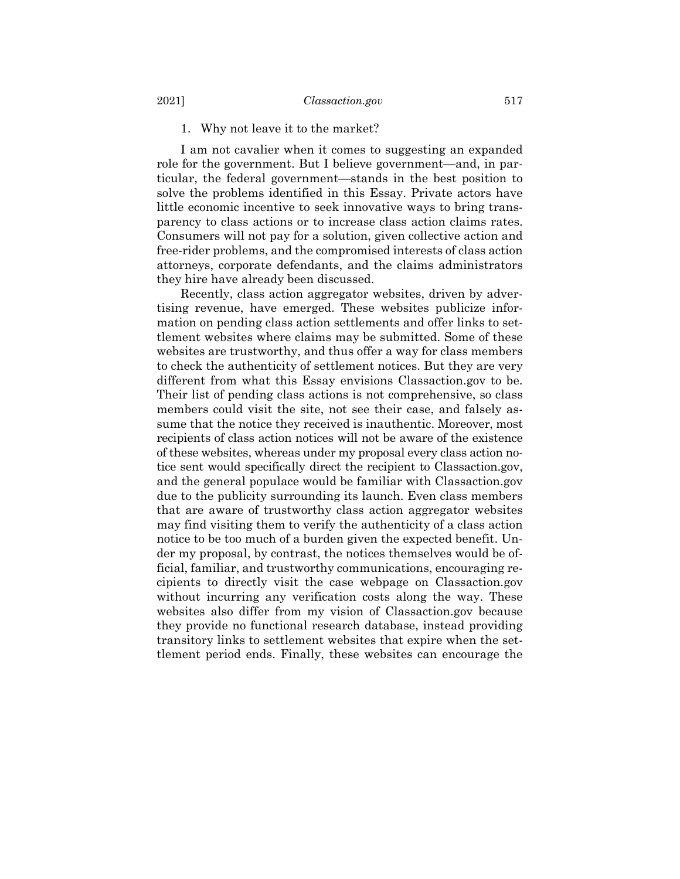## 1. Why not leave it to the market?

I am not cavalier when it comes to suggesting an expanded role for the government. But I believe government—and, in particular, the federal government—stands in the best position to solve the problems identified in this Essay. Private actors have little economic incentive to seek innovative ways to bring transparency to class actions or to increase class action claims rates. Consumers will not pay for a solution, given collective action and free-rider problems, and the compromised interests of class action attorneys, corporate defendants, and the claims administrators they hire have already been discussed.

Recently, class action aggregator websites, driven by advertising revenue, have emerged. These websites publicize information on pending class action settlements and offer links to settlement websites where claims may be submitted. Some of these websites are trustworthy, and thus offer a way for class members to check the authenticity of settlement notices. But they are very different from what this Essay envisions Classaction.gov to be. Their list of pending class actions is not comprehensive, so class members could visit the site, not see their case, and falsely assume that the notice they received is inauthentic. Moreover, most recipients of class action notices will not be aware of the existence of these websites, whereas under my proposal every class action notice sent would specifically direct the recipient to Classaction.gov, and the general populace would be familiar with Classaction.gov due to the publicity surrounding its launch. Even class members that are aware of trustworthy class action aggregator websites may find visiting them to verify the authenticity of a class action notice to be too much of a burden given the expected benefit. Under my proposal, by contrast, the notices themselves would be official, familiar, and trustworthy communications, encouraging recipients to directly visit the case webpage on Classaction.gov without incurring any verification costs along the way. These websites also differ from my vision of Classaction.gov because they provide no functional research database, instead providing transitory links to settlement websites that expire when the settlement period ends. Finally, these websites can encourage the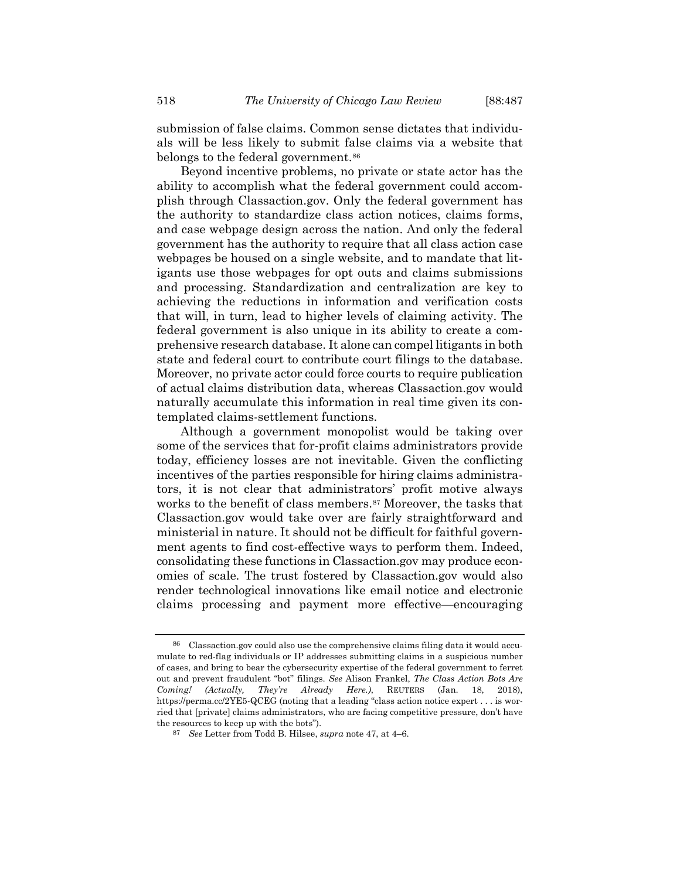submission of false claims. Common sense dictates that individuals will be less likely to submit false claims via a website that belongs to the federal government.<sup>[86](#page-31-0)</sup>

Beyond incentive problems, no private or state actor has the ability to accomplish what the federal government could accomplish through Classaction.gov. Only the federal government has the authority to standardize class action notices, claims forms, and case webpage design across the nation. And only the federal government has the authority to require that all class action case webpages be housed on a single website, and to mandate that litigants use those webpages for opt outs and claims submissions and processing. Standardization and centralization are key to achieving the reductions in information and verification costs that will, in turn, lead to higher levels of claiming activity. The federal government is also unique in its ability to create a comprehensive research database. It alone can compel litigants in both state and federal court to contribute court filings to the database. Moreover, no private actor could force courts to require publication of actual claims distribution data, whereas Classaction.gov would naturally accumulate this information in real time given its contemplated claims-settlement functions.

Although a government monopolist would be taking over some of the services that for-profit claims administrators provide today, efficiency losses are not inevitable. Given the conflicting incentives of the parties responsible for hiring claims administrators, it is not clear that administrators' profit motive always works to the benefit of class members.<sup>[87](#page-31-1)</sup> Moreover, the tasks that Classaction.gov would take over are fairly straightforward and ministerial in nature. It should not be difficult for faithful government agents to find cost-effective ways to perform them. Indeed, consolidating these functions in Classaction.gov may produce economies of scale. The trust fostered by Classaction.gov would also render technological innovations like email notice and electronic claims processing and payment more effective—encouraging

<span id="page-31-0"></span><sup>86</sup> Classaction.gov could also use the comprehensive claims filing data it would accumulate to red-flag individuals or IP addresses submitting claims in a suspicious number of cases, and bring to bear the cybersecurity expertise of the federal government to ferret out and prevent fraudulent "bot" filings. *See* Alison Frankel, *The Class Action Bots Are Coming! (Actually, They're Already Here.)*, REUTERS (Jan. 18, 2018), https://perma.cc/2YE5-QCEG (noting that a leading "class action notice expert . . . is worried that [private] claims administrators, who are facing competitive pressure, don't have the resources to keep up with the bots").

<span id="page-31-1"></span><sup>87</sup> *See* Letter from Todd B. Hilsee, *supra* note [47,](#page-13-1) at 4–6.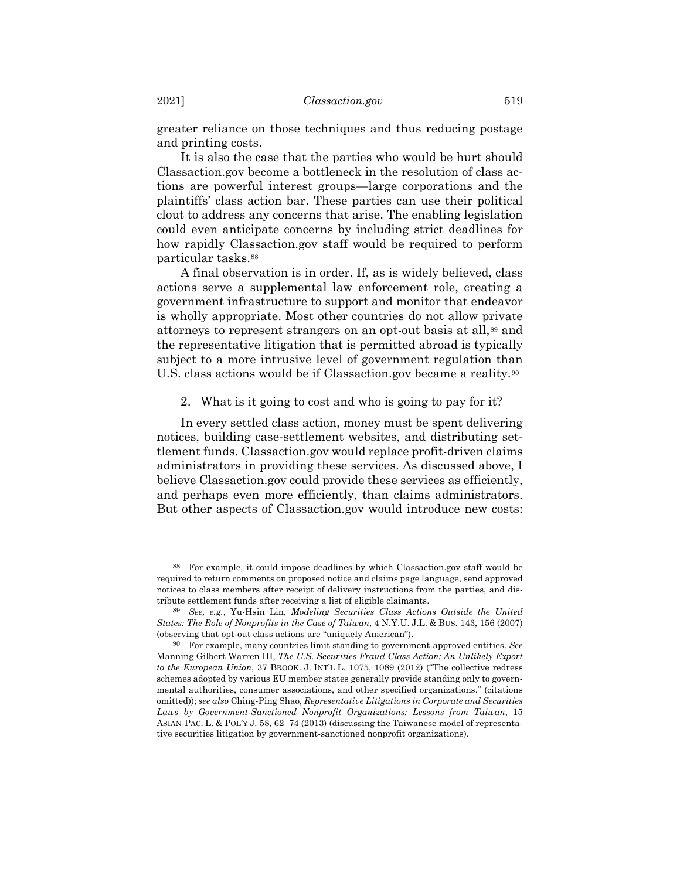greater reliance on those techniques and thus reducing postage and printing costs.

It is also the case that the parties who would be hurt should Classaction.gov become a bottleneck in the resolution of class actions are powerful interest groups—large corporations and the plaintiffs' class action bar. These parties can use their political clout to address any concerns that arise. The enabling legislation could even anticipate concerns by including strict deadlines for how rapidly Classaction.gov staff would be required to perform particular tasks.[88](#page-32-0)

A final observation is in order. If, as is widely believed, class actions serve a supplemental law enforcement role, creating a government infrastructure to support and monitor that endeavor is wholly appropriate. Most other countries do not allow private attorneys to represent strangers on an opt-out basis at all,[89](#page-32-1) and the representative litigation that is permitted abroad is typically subject to a more intrusive level of government regulation than U.S. class actions would be if Classaction.gov became a reality.<sup>[90](#page-32-2)</sup>

2. What is it going to cost and who is going to pay for it?

In every settled class action, money must be spent delivering notices, building case-settlement websites, and distributing settlement funds. Classaction.gov would replace profit-driven claims administrators in providing these services. As discussed above, I believe Classaction.gov could provide these services as efficiently, and perhaps even more efficiently, than claims administrators. But other aspects of Classaction.gov would introduce new costs:

<span id="page-32-0"></span><sup>88</sup> For example, it could impose deadlines by which Classaction.gov staff would be required to return comments on proposed notice and claims page language, send approved notices to class members after receipt of delivery instructions from the parties, and distribute settlement funds after receiving a list of eligible claimants.

<span id="page-32-1"></span><sup>89</sup> *See, e.g.*, Yu-Hsin Lin, *Modeling Securities Class Actions Outside the United States: The Role of Nonprofits in the Case of Taiwan*, 4 N.Y.U. J.L. & BUS. 143, 156 (2007) (observing that opt-out class actions are "uniquely American").

<span id="page-32-2"></span><sup>90</sup> For example, many countries limit standing to government-approved entities. *See* Manning Gilbert Warren III, *The U.S. Securities Fraud Class Action: An Unlikely Export to the European Union*, 37 BROOK. J. INT'L L. 1075, 1089 (2012) ("The collective redress schemes adopted by various EU member states generally provide standing only to governmental authorities, consumer associations, and other specified organizations." (citations omitted)); *see also* Ching-Ping Shao, *Representative Litigations in Corporate and Securities Laws by Government-Sanctioned Nonprofit Organizations: Lessons from Taiwan*, 15 ASIAN-PAC. L. & POL'Y J. 58, 62–74 (2013) (discussing the Taiwanese model of representative securities litigation by government-sanctioned nonprofit organizations).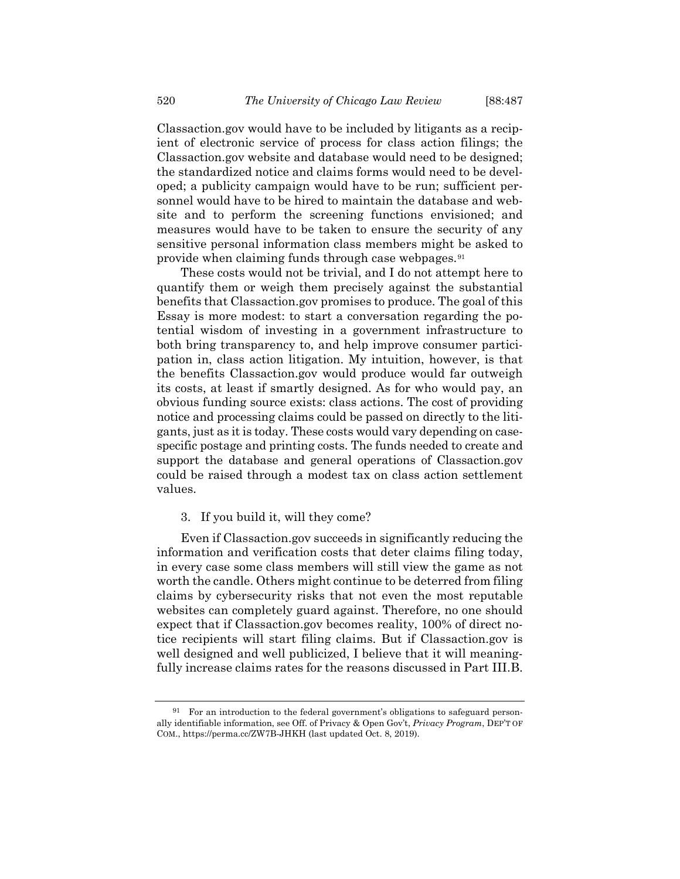Classaction.gov would have to be included by litigants as a recipient of electronic service of process for class action filings; the Classaction.gov website and database would need to be designed; the standardized notice and claims forms would need to be developed; a publicity campaign would have to be run; sufficient personnel would have to be hired to maintain the database and website and to perform the screening functions envisioned; and measures would have to be taken to ensure the security of any sensitive personal information class members might be asked to provide when claiming funds through case webpages.[91](#page-33-0)

These costs would not be trivial, and I do not attempt here to quantify them or weigh them precisely against the substantial benefits that Classaction.gov promises to produce. The goal of this Essay is more modest: to start a conversation regarding the potential wisdom of investing in a government infrastructure to both bring transparency to, and help improve consumer participation in, class action litigation. My intuition, however, is that the benefits Classaction.gov would produce would far outweigh its costs, at least if smartly designed. As for who would pay, an obvious funding source exists: class actions. The cost of providing notice and processing claims could be passed on directly to the litigants, just as it is today. These costs would vary depending on casespecific postage and printing costs. The funds needed to create and support the database and general operations of Classaction.gov could be raised through a modest tax on class action settlement values.

# 3. If you build it, will they come?

Even if Classaction.gov succeeds in significantly reducing the information and verification costs that deter claims filing today, in every case some class members will still view the game as not worth the candle. Others might continue to be deterred from filing claims by cybersecurity risks that not even the most reputable websites can completely guard against. Therefore, no one should expect that if Classaction.gov becomes reality, 100% of direct notice recipients will start filing claims. But if Classaction.gov is well designed and well publicized, I believe that it will meaningfully increase claims rates for the reasons discussed in Part III.B.

<span id="page-33-0"></span><sup>91</sup> For an introduction to the federal government's obligations to safeguard personally identifiable information, see Off. of Privacy & Open Gov't, *Privacy Program*, DEP'T OF COM., https://perma.cc/ZW7B-JHKH (last updated Oct. 8, 2019).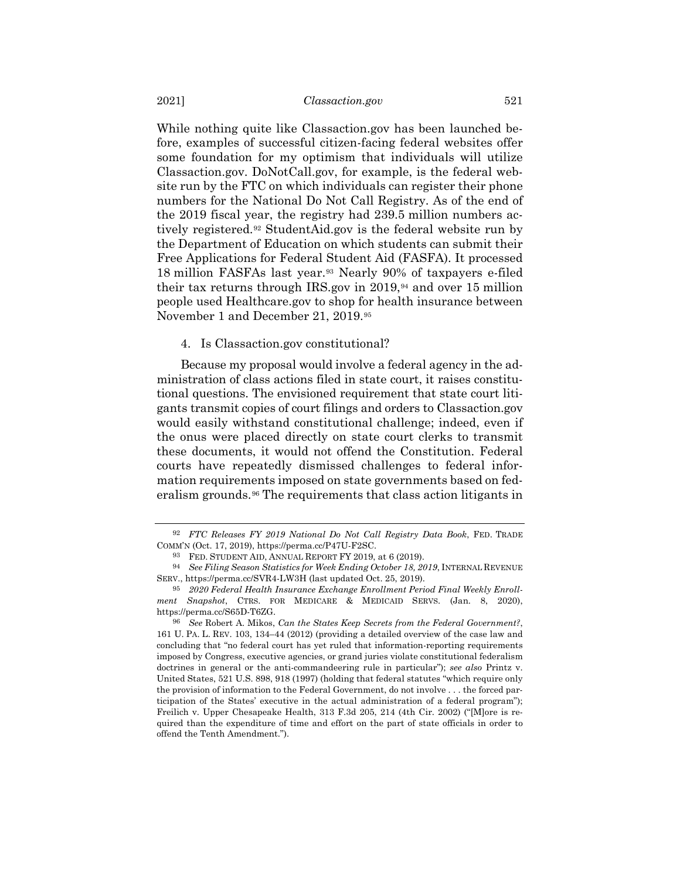While nothing quite like Classaction.gov has been launched before, examples of successful citizen-facing federal websites offer some foundation for my optimism that individuals will utilize Classaction.gov. DoNotCall.gov, for example, is the federal website run by the FTC on which individuals can register their phone numbers for the National Do Not Call Registry. As of the end of the 2019 fiscal year, the registry had 239.5 million numbers actively registered.[92](#page-34-0) StudentAid.gov is the federal website run by the Department of Education on which students can submit their Free Applications for Federal Student Aid (FASFA). It processed 18 million FASFAs last year.[93](#page-34-1) Nearly 90% of taxpayers e-filed their tax returns through IRS.gov in  $2019$ ,<sup>[94](#page-34-2)</sup> and over 15 million people used Healthcare.gov to shop for health insurance between November 1 and December 21, 2019.[95](#page-34-3)

## 4. Is Classaction.gov constitutional?

Because my proposal would involve a federal agency in the administration of class actions filed in state court, it raises constitutional questions. The envisioned requirement that state court litigants transmit copies of court filings and orders to Classaction.gov would easily withstand constitutional challenge; indeed, even if the onus were placed directly on state court clerks to transmit these documents, it would not offend the Constitution. Federal courts have repeatedly dismissed challenges to federal information requirements imposed on state governments based on federalism grounds.[96](#page-34-4) The requirements that class action litigants in

<span id="page-34-0"></span><sup>92</sup> *FTC Releases FY 2019 National Do Not Call Registry Data Book*, FED. TRADE COMM'N (Oct. 17, 2019), https://perma.cc/P47U-F2SC.

<sup>93</sup> FED. STUDENT AID, ANNUAL REPORT FY 2019, at 6 (2019).

<span id="page-34-2"></span><span id="page-34-1"></span><sup>94</sup> *See Filing Season Statistics for Week Ending October 18, 2019*, INTERNAL REVENUE SERV., https://perma.cc/SVR4-LW3H (last updated Oct. 25, 2019).

<span id="page-34-3"></span><sup>95</sup> *2020 Federal Health Insurance Exchange Enrollment Period Final Weekly Enrollment Snapshot*, CTRS. FOR MEDICARE & MEDICAID SERVS. (Jan. 8, 2020), https://perma.cc/S65D-T6ZG.

<span id="page-34-4"></span><sup>96</sup> *See* Robert A. Mikos, *Can the States Keep Secrets from the Federal Government?*, 161 U. PA. L. REV. 103, 134–44 (2012) (providing a detailed overview of the case law and concluding that "no federal court has yet ruled that information-reporting requirements imposed by Congress, executive agencies, or grand juries violate constitutional federalism doctrines in general or the anti-commandeering rule in particular"); *see also* Printz v. United States, 521 U.S. 898, 918 (1997) (holding that federal statutes "which require only the provision of information to the Federal Government, do not involve . . . the forced participation of the States' executive in the actual administration of a federal program"); Freilich v. Upper Chesapeake Health, 313 F.3d 205, 214 (4th Cir. 2002) ("[M]ore is required than the expenditure of time and effort on the part of state officials in order to offend the Tenth Amendment.").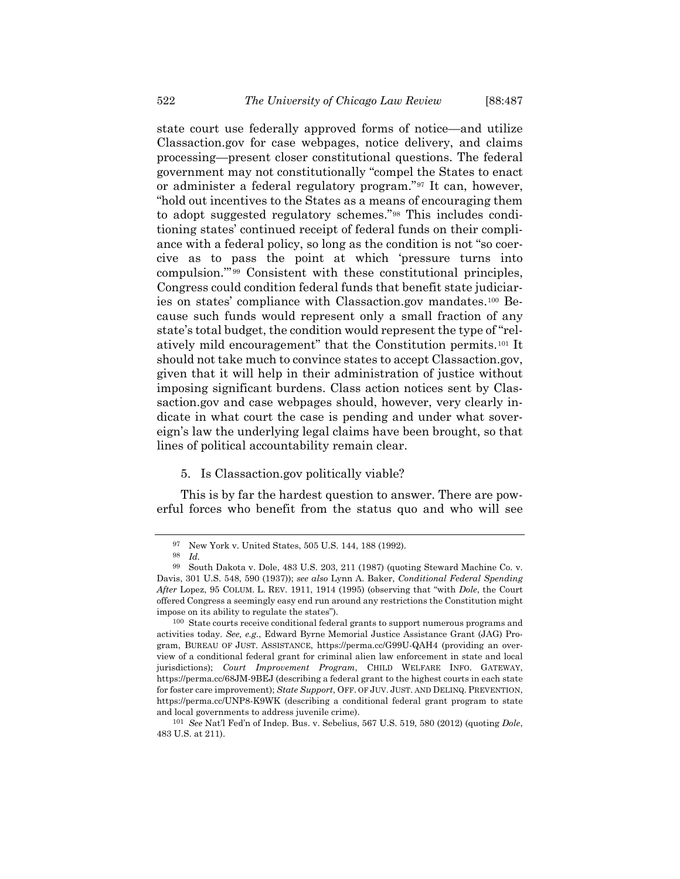state court use federally approved forms of notice—and utilize Classaction.gov for case webpages, notice delivery, and claims processing—present closer constitutional questions. The federal government may not constitutionally "compel the States to enact or administer a federal regulatory program."[97](#page-35-0) It can, however, "hold out incentives to the States as a means of encouraging them to adopt suggested regulatory schemes."[98](#page-35-1) This includes conditioning states' continued receipt of federal funds on their compliance with a federal policy, so long as the condition is not "so coercive as to pass the point at which 'pressure turns into compulsion.'" [99](#page-35-2) Consistent with these constitutional principles, Congress could condition federal funds that benefit state judiciaries on states' compliance with Classaction.gov mandates.[100](#page-35-3) Because such funds would represent only a small fraction of any state's total budget, the condition would represent the type of "relatively mild encouragement" that the Constitution permits.[101](#page-35-4) It should not take much to convince states to accept Classaction.gov, given that it will help in their administration of justice without imposing significant burdens. Class action notices sent by Classaction.gov and case webpages should, however, very clearly indicate in what court the case is pending and under what sovereign's law the underlying legal claims have been brought, so that lines of political accountability remain clear.

## 5. Is Classaction.gov politically viable?

This is by far the hardest question to answer. There are powerful forces who benefit from the status quo and who will see

<sup>97</sup> New York v. United States, 505 U.S. 144, 188 (1992).

<sup>98</sup> *Id.*

<span id="page-35-2"></span><span id="page-35-1"></span><span id="page-35-0"></span><sup>99</sup> South Dakota v. Dole, 483 U.S. 203, 211 (1987) (quoting Steward Machine Co. v. Davis, 301 U.S. 548, 590 (1937)); *see also* Lynn A. Baker, *Conditional Federal Spending After* Lopez, 95 COLUM. L. REV. 1911, 1914 (1995) (observing that "with *Dole*, the Court offered Congress a seemingly easy end run around any restrictions the Constitution might impose on its ability to regulate the states").

<span id="page-35-3"></span><sup>100</sup> State courts receive conditional federal grants to support numerous programs and activities today. *See, e.g.*, Edward Byrne Memorial Justice Assistance Grant (JAG) Program, BUREAU OF JUST. ASSISTANCE, https://perma.cc/G99U-QAH4 (providing an overview of a conditional federal grant for criminal alien law enforcement in state and local jurisdictions); *Court Improvement Program*, CHILD WELFARE INFO. GATEWAY, https://perma.cc/68JM-9BEJ (describing a federal grant to the highest courts in each state for foster care improvement); *State Support*, OFF. OF JUV. JUST. AND DELINQ. PREVENTION, https://perma.cc/UNP8-K9WK (describing a conditional federal grant program to state and local governments to address juvenile crime).

<span id="page-35-4"></span><sup>101</sup> *See* Nat'l Fed'n of Indep. Bus. v. Sebelius, 567 U.S. 519, 580 (2012) (quoting *Dole*, 483 U.S. at 211).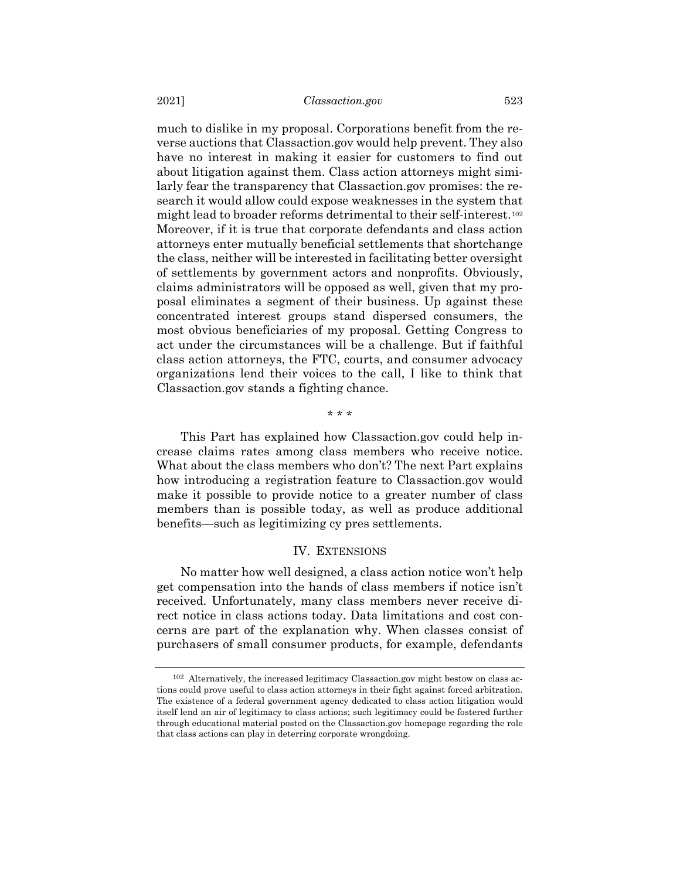much to dislike in my proposal. Corporations benefit from the reverse auctions that Classaction.gov would help prevent. They also have no interest in making it easier for customers to find out about litigation against them. Class action attorneys might similarly fear the transparency that Classaction.gov promises: the research it would allow could expose weaknesses in the system that might lead to broader reforms detrimental to their self-interest.[102](#page-36-0) Moreover, if it is true that corporate defendants and class action attorneys enter mutually beneficial settlements that shortchange the class, neither will be interested in facilitating better oversight of settlements by government actors and nonprofits. Obviously, claims administrators will be opposed as well, given that my proposal eliminates a segment of their business. Up against these concentrated interest groups stand dispersed consumers, the most obvious beneficiaries of my proposal. Getting Congress to act under the circumstances will be a challenge. But if faithful class action attorneys, the FTC, courts, and consumer advocacy organizations lend their voices to the call, I like to think that Classaction.gov stands a fighting chance.

#### \* \* \*

This Part has explained how Classaction.gov could help increase claims rates among class members who receive notice. What about the class members who don't? The next Part explains how introducing a registration feature to Classaction.gov would make it possible to provide notice to a greater number of class members than is possible today, as well as produce additional benefits—such as legitimizing cy pres settlements.

#### IV. EXTENSIONS

No matter how well designed, a class action notice won't help get compensation into the hands of class members if notice isn't received. Unfortunately, many class members never receive direct notice in class actions today. Data limitations and cost concerns are part of the explanation why. When classes consist of purchasers of small consumer products, for example, defendants

<span id="page-36-0"></span><sup>102</sup> Alternatively, the increased legitimacy Classaction.gov might bestow on class actions could prove useful to class action attorneys in their fight against forced arbitration. The existence of a federal government agency dedicated to class action litigation would itself lend an air of legitimacy to class actions; such legitimacy could be fostered further through educational material posted on the Classaction.gov homepage regarding the role that class actions can play in deterring corporate wrongdoing.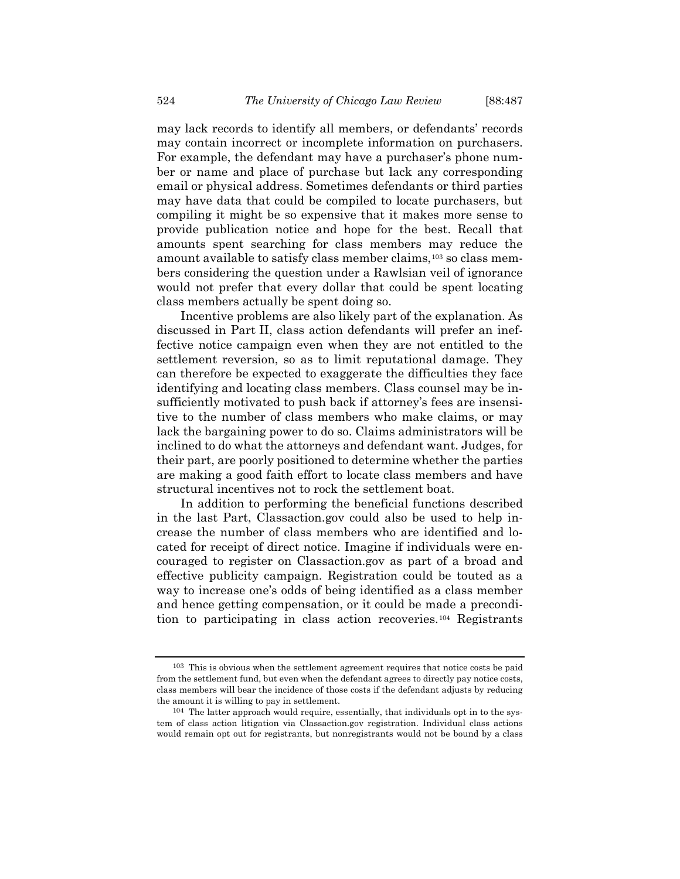may lack records to identify all members, or defendants' records may contain incorrect or incomplete information on purchasers. For example, the defendant may have a purchaser's phone number or name and place of purchase but lack any corresponding email or physical address. Sometimes defendants or third parties may have data that could be compiled to locate purchasers, but compiling it might be so expensive that it makes more sense to provide publication notice and hope for the best. Recall that amounts spent searching for class members may reduce the amount available to satisfy class member claims,[103](#page-37-0) so class members considering the question under a Rawlsian veil of ignorance would not prefer that every dollar that could be spent locating class members actually be spent doing so.

Incentive problems are also likely part of the explanation. As discussed in Part II, class action defendants will prefer an ineffective notice campaign even when they are not entitled to the settlement reversion, so as to limit reputational damage. They can therefore be expected to exaggerate the difficulties they face identifying and locating class members. Class counsel may be insufficiently motivated to push back if attorney's fees are insensitive to the number of class members who make claims, or may lack the bargaining power to do so. Claims administrators will be inclined to do what the attorneys and defendant want. Judges, for their part, are poorly positioned to determine whether the parties are making a good faith effort to locate class members and have structural incentives not to rock the settlement boat.

In addition to performing the beneficial functions described in the last Part, Classaction.gov could also be used to help increase the number of class members who are identified and located for receipt of direct notice. Imagine if individuals were encouraged to register on Classaction.gov as part of a broad and effective publicity campaign. Registration could be touted as a way to increase one's odds of being identified as a class member and hence getting compensation, or it could be made a precondition to participating in class action recoveries.[104](#page-37-1) Registrants

<span id="page-37-0"></span><sup>103</sup> This is obvious when the settlement agreement requires that notice costs be paid from the settlement fund, but even when the defendant agrees to directly pay notice costs, class members will bear the incidence of those costs if the defendant adjusts by reducing the amount it is willing to pay in settlement.

<span id="page-37-1"></span><sup>104</sup> The latter approach would require, essentially, that individuals opt in to the system of class action litigation via Classaction.gov registration. Individual class actions would remain opt out for registrants, but nonregistrants would not be bound by a class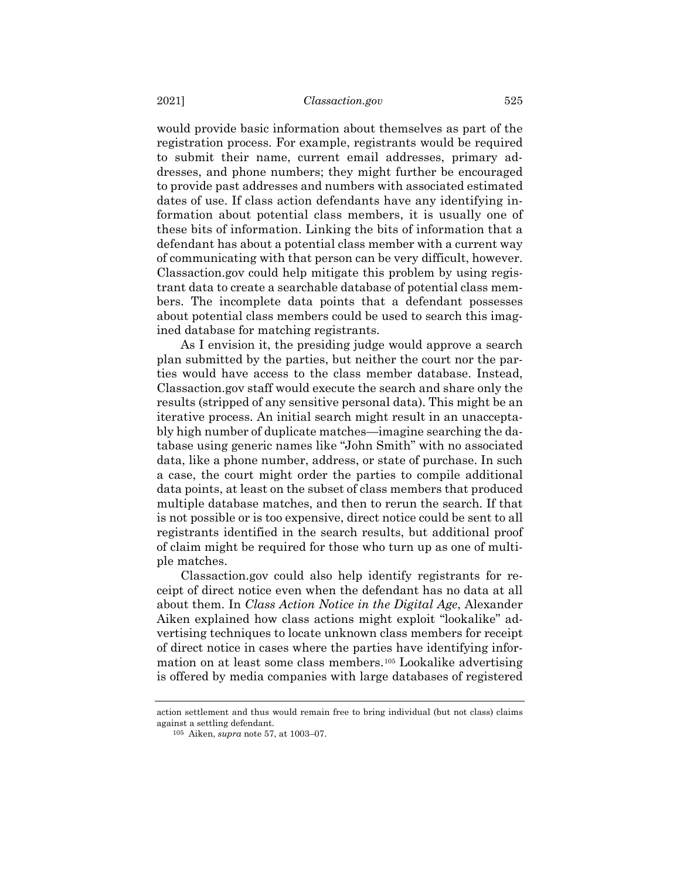would provide basic information about themselves as part of the registration process. For example, registrants would be required to submit their name, current email addresses, primary addresses, and phone numbers; they might further be encouraged to provide past addresses and numbers with associated estimated dates of use. If class action defendants have any identifying information about potential class members, it is usually one of these bits of information. Linking the bits of information that a defendant has about a potential class member with a current way of communicating with that person can be very difficult, however. Classaction.gov could help mitigate this problem by using registrant data to create a searchable database of potential class members. The incomplete data points that a defendant possesses about potential class members could be used to search this imagined database for matching registrants.

As I envision it, the presiding judge would approve a search plan submitted by the parties, but neither the court nor the parties would have access to the class member database. Instead, Classaction.gov staff would execute the search and share only the results (stripped of any sensitive personal data). This might be an iterative process. An initial search might result in an unacceptably high number of duplicate matches—imagine searching the database using generic names like "John Smith" with no associated data, like a phone number, address, or state of purchase. In such a case, the court might order the parties to compile additional data points, at least on the subset of class members that produced multiple database matches, and then to rerun the search. If that is not possible or is too expensive, direct notice could be sent to all registrants identified in the search results, but additional proof of claim might be required for those who turn up as one of multiple matches.

Classaction.gov could also help identify registrants for receipt of direct notice even when the defendant has no data at all about them. In *Class Action Notice in the Digital Age*, Alexander Aiken explained how class actions might exploit "lookalike" advertising techniques to locate unknown class members for receipt of direct notice in cases where the parties have identifying information on at least some class members.[105](#page-38-0) Lookalike advertising is offered by media companies with large databases of registered

<span id="page-38-0"></span>action settlement and thus would remain free to bring individual (but not class) claims against a settling defendant.

<sup>105</sup> Aiken, *supra* note [57,](#page-16-1) at 1003–07.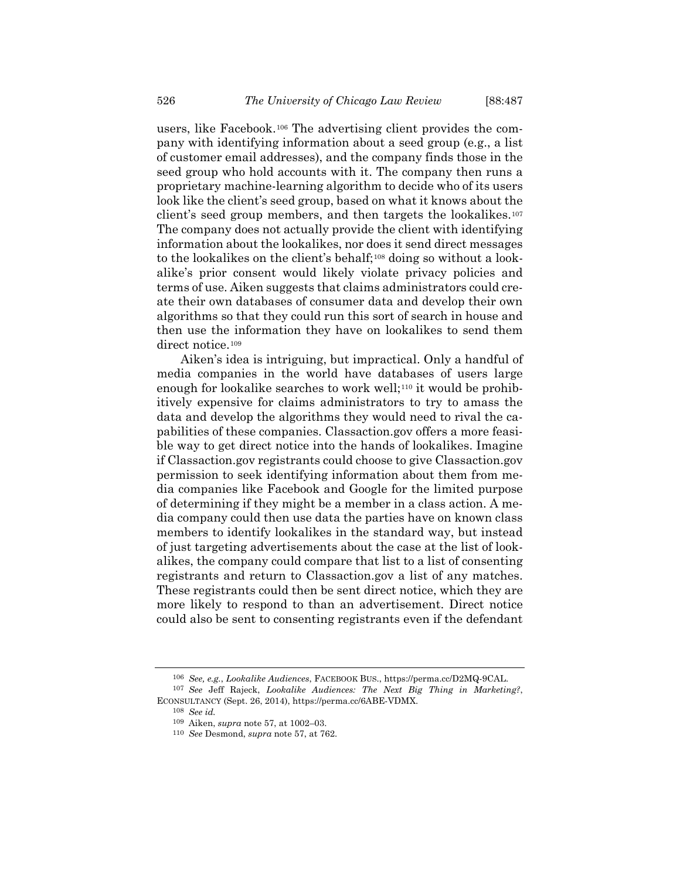users, like Facebook.[106](#page-39-0) The advertising client provides the company with identifying information about a seed group (e.g., a list of customer email addresses), and the company finds those in the seed group who hold accounts with it. The company then runs a proprietary machine-learning algorithm to decide who of its users look like the client's seed group, based on what it knows about the client's seed group members, and then targets the lookalikes.[107](#page-39-1) The company does not actually provide the client with identifying information about the lookalikes, nor does it send direct messages to the lookalikes on the client's behalf;[108](#page-39-2) doing so without a lookalike's prior consent would likely violate privacy policies and terms of use. Aiken suggests that claims administrators could create their own databases of consumer data and develop their own algorithms so that they could run this sort of search in house and then use the information they have on lookalikes to send them direct notice.[109](#page-39-3)

Aiken's idea is intriguing, but impractical. Only a handful of media companies in the world have databases of users large enough for lookalike searches to work well;<sup>[110](#page-39-4)</sup> it would be prohibitively expensive for claims administrators to try to amass the data and develop the algorithms they would need to rival the capabilities of these companies. Classaction.gov offers a more feasible way to get direct notice into the hands of lookalikes. Imagine if Classaction.gov registrants could choose to give Classaction.gov permission to seek identifying information about them from media companies like Facebook and Google for the limited purpose of determining if they might be a member in a class action. A media company could then use data the parties have on known class members to identify lookalikes in the standard way, but instead of just targeting advertisements about the case at the list of lookalikes, the company could compare that list to a list of consenting registrants and return to Classaction.gov a list of any matches. These registrants could then be sent direct notice, which they are more likely to respond to than an advertisement. Direct notice could also be sent to consenting registrants even if the defendant

<sup>106</sup> *See, e.g.*, *Lookalike Audiences*, FACEBOOK BUS., https://perma.cc/D2MQ-9CAL.

<span id="page-39-4"></span><span id="page-39-3"></span><span id="page-39-2"></span><span id="page-39-1"></span><span id="page-39-0"></span><sup>107</sup> *See* Jeff Rajeck, *Lookalike Audiences: The Next Big Thing in Marketing?*, ECONSULTANCY (Sept. 26, 2014), https://perma.cc/6ABE-VDMX.

<sup>108</sup> *See id.*

<sup>109</sup> Aiken, *supra* note [57,](#page-16-1) at 1002–03.

<sup>110</sup> *See* Desmond, *supra* note [57,](#page-16-1) at 762.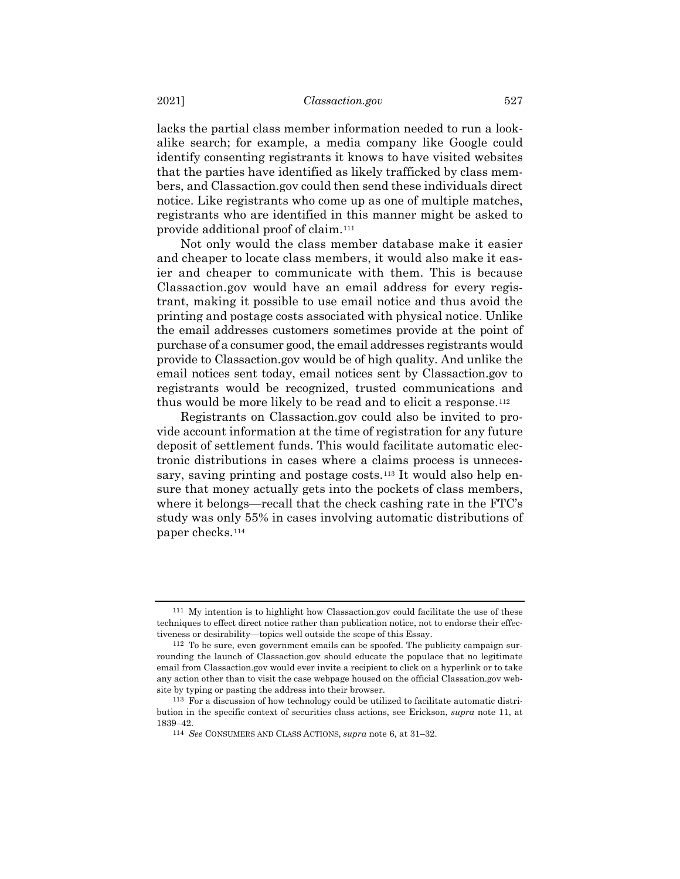lacks the partial class member information needed to run a lookalike search; for example, a media company like Google could identify consenting registrants it knows to have visited websites that the parties have identified as likely trafficked by class members, and Classaction.gov could then send these individuals direct notice. Like registrants who come up as one of multiple matches, registrants who are identified in this manner might be asked to provide additional proof of claim.[111](#page-40-0)

Not only would the class member database make it easier and cheaper to locate class members, it would also make it easier and cheaper to communicate with them. This is because Classaction.gov would have an email address for every registrant, making it possible to use email notice and thus avoid the printing and postage costs associated with physical notice. Unlike the email addresses customers sometimes provide at the point of purchase of a consumer good, the email addresses registrants would provide to Classaction.gov would be of high quality. And unlike the email notices sent today, email notices sent by Classaction.gov to registrants would be recognized, trusted communications and thus would be more likely to be read and to elicit a response.<sup>[112](#page-40-1)</sup>

Registrants on Classaction.gov could also be invited to provide account information at the time of registration for any future deposit of settlement funds. This would facilitate automatic electronic distributions in cases where a claims process is unneces-sary, saving printing and postage costs.<sup>[113](#page-40-2)</sup> It would also help ensure that money actually gets into the pockets of class members, where it belongs—recall that the check cashing rate in the FTC's study was only 55% in cases involving automatic distributions of paper checks[.114](#page-40-3)

<span id="page-40-0"></span><sup>111</sup> My intention is to highlight how Classaction.gov could facilitate the use of these techniques to effect direct notice rather than publication notice, not to endorse their effectiveness or desirability—topics well outside the scope of this Essay.

<span id="page-40-1"></span><sup>112</sup> To be sure, even government emails can be spoofed. The publicity campaign surrounding the launch of Classaction.gov should educate the populace that no legitimate email from Classaction.gov would ever invite a recipient to click on a hyperlink or to take any action other than to visit the case webpage housed on the official Classation.gov website by typing or pasting the address into their browser.

<span id="page-40-3"></span><span id="page-40-2"></span><sup>113</sup> For a discussion of how technology could be utilized to facilitate automatic distribution in the specific context of securities class actions, see Erickson, *supra* note [11,](#page-3-3) at 1839–42.

<sup>114</sup> *See* CONSUMERS AND CLASS ACTIONS, *supra* not[e 6,](#page-1-6) at 31–32.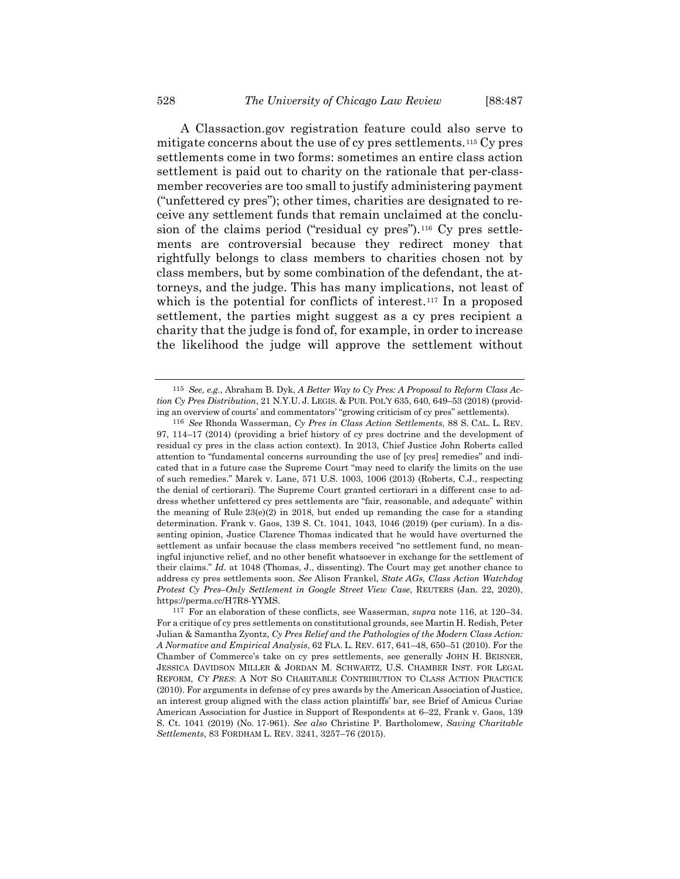<span id="page-41-0"></span>A Classaction.gov registration feature could also serve to mitigate concerns about the use of cy pres settlements.[115](#page-41-1) Cy pres settlements come in two forms: sometimes an entire class action settlement is paid out to charity on the rationale that per-classmember recoveries are too small to justify administering payment ("unfettered cy pres"); other times, charities are designated to receive any settlement funds that remain unclaimed at the conclu-sion of the claims period ("residual cy pres").<sup>[116](#page-41-2)</sup> Cy pres settlements are controversial because they redirect money that rightfully belongs to class members to charities chosen not by class members, but by some combination of the defendant, the attorneys, and the judge. This has many implications, not least of which is the potential for conflicts of interest.<sup>[117](#page-41-3)</sup> In a proposed settlement, the parties might suggest as a cy pres recipient a charity that the judge is fond of, for example, in order to increase the likelihood the judge will approve the settlement without

<span id="page-41-1"></span><sup>115</sup> *See, e.g.*, Abraham B. Dyk, *A Better Way to Cy Pres: A Proposal to Reform Class Action Cy Pres Distribution*, 21 N.Y.U. J. LEGIS. & PUB. POL'Y 635, 640, 649–53 (2018) (providing an overview of courts' and commentators' "growing criticism of cy pres" settlements).

<span id="page-41-2"></span><sup>116</sup> *See* Rhonda Wasserman, *Cy Pres in Class Action Settlements*, 88 S. CAL. L. REV. 97, 114–17 (2014) (providing a brief history of cy pres doctrine and the development of residual cy pres in the class action context). In 2013, Chief Justice John Roberts called attention to "fundamental concerns surrounding the use of [cy pres] remedies" and indicated that in a future case the Supreme Court "may need to clarify the limits on the use of such remedies." Marek v. Lane, 571 U.S. 1003, 1006 (2013) (Roberts, C.J., respecting the denial of certiorari). The Supreme Court granted certiorari in a different case to address whether unfettered cy pres settlements are "fair, reasonable, and adequate" within the meaning of Rule  $23(e)(2)$  in 2018, but ended up remanding the case for a standing determination. Frank v. Gaos, 139 S. Ct. 1041, 1043, 1046 (2019) (per curiam). In a dissenting opinion, Justice Clarence Thomas indicated that he would have overturned the settlement as unfair because the class members received "no settlement fund, no meaningful injunctive relief, and no other benefit whatsoever in exchange for the settlement of their claims." *Id.* at 1048 (Thomas, J., dissenting). The Court may get another chance to address cy pres settlements soon. *See* Alison Frankel, *State AGs, Class Action Watchdog Protest Cy Pres–Only Settlement in Google Street View Case*, REUTERS (Jan. 22, 2020), https://perma.cc/H7R8-YYMS.

<span id="page-41-3"></span><sup>117</sup> For an elaboration of these conflicts, see Wasserman, *supra* not[e 116,](#page-41-0) at 120–34. For a critique of cy pres settlements on constitutional grounds, see Martin H. Redish, Peter Julian & Samantha Zyontz, *Cy Pres Relief and the Pathologies of the Modern Class Action: A Normative and Empirical Analysis*, 62 FLA. L. REV. 617, 641–48, 650–51 (2010). For the Chamber of Commerce's take on cy pres settlements, see generally JOHN H. BEISNER, JESSICA DAVIDSON MILLER & JORDAN M. SCHWARTZ, U.S. CHAMBER INST. FOR LEGAL REFORM, *CY PRES*: A NOT SO CHARITABLE CONTRIBUTION TO CLASS ACTION PRACTICE (2010). For arguments in defense of cy pres awards by the American Association of Justice, an interest group aligned with the class action plaintiffs' bar, see Brief of Amicus Curiae American Association for Justice in Support of Respondents at 6–22, Frank v. Gaos, 139 S. Ct. 1041 (2019) (No. 17-961). *See also* Christine P. Bartholomew, *Saving Charitable Settlements*, 83 FORDHAM L. REV. 3241, 3257–76 (2015).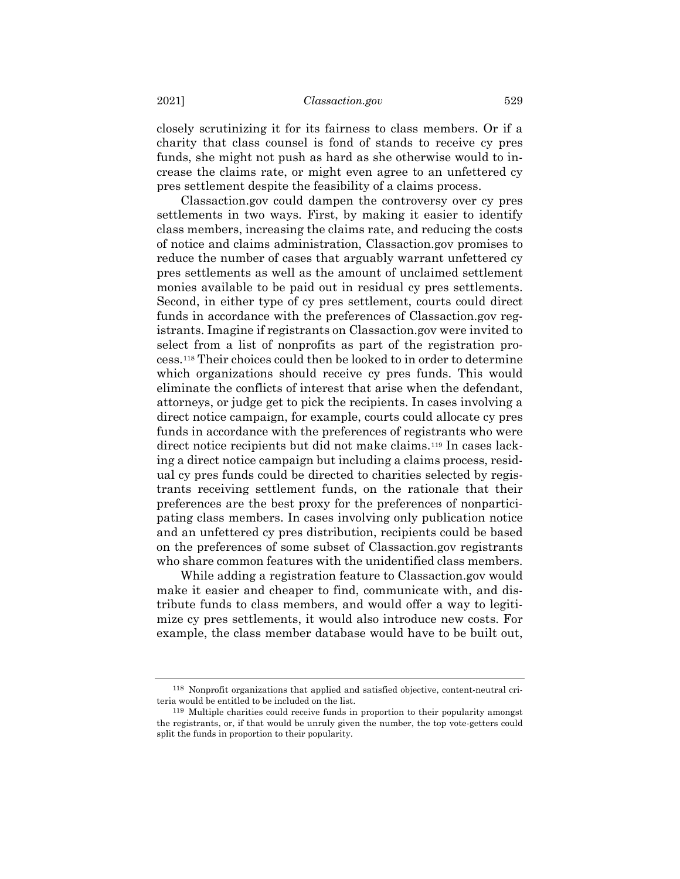closely scrutinizing it for its fairness to class members. Or if a charity that class counsel is fond of stands to receive cy pres funds, she might not push as hard as she otherwise would to increase the claims rate, or might even agree to an unfettered cy pres settlement despite the feasibility of a claims process.

Classaction.gov could dampen the controversy over cy pres settlements in two ways. First, by making it easier to identify class members, increasing the claims rate, and reducing the costs of notice and claims administration, Classaction.gov promises to reduce the number of cases that arguably warrant unfettered cy pres settlements as well as the amount of unclaimed settlement monies available to be paid out in residual cy pres settlements. Second, in either type of cy pres settlement, courts could direct funds in accordance with the preferences of Classaction.gov registrants. Imagine if registrants on Classaction.gov were invited to select from a list of nonprofits as part of the registration process.[118](#page-42-0) Their choices could then be looked to in order to determine which organizations should receive cy pres funds. This would eliminate the conflicts of interest that arise when the defendant, attorneys, or judge get to pick the recipients. In cases involving a direct notice campaign, for example, courts could allocate cy pres funds in accordance with the preferences of registrants who were direct notice recipients but did not make claims.[119](#page-42-1) In cases lacking a direct notice campaign but including a claims process, residual cy pres funds could be directed to charities selected by registrants receiving settlement funds, on the rationale that their preferences are the best proxy for the preferences of nonparticipating class members. In cases involving only publication notice and an unfettered cy pres distribution, recipients could be based on the preferences of some subset of Classaction.gov registrants who share common features with the unidentified class members.

While adding a registration feature to Classaction.gov would make it easier and cheaper to find, communicate with, and distribute funds to class members, and would offer a way to legitimize cy pres settlements, it would also introduce new costs. For example, the class member database would have to be built out,

<span id="page-42-0"></span><sup>118</sup> Nonprofit organizations that applied and satisfied objective, content-neutral criteria would be entitled to be included on the list.

<span id="page-42-1"></span><sup>119</sup> Multiple charities could receive funds in proportion to their popularity amongst the registrants, or, if that would be unruly given the number, the top vote-getters could split the funds in proportion to their popularity.